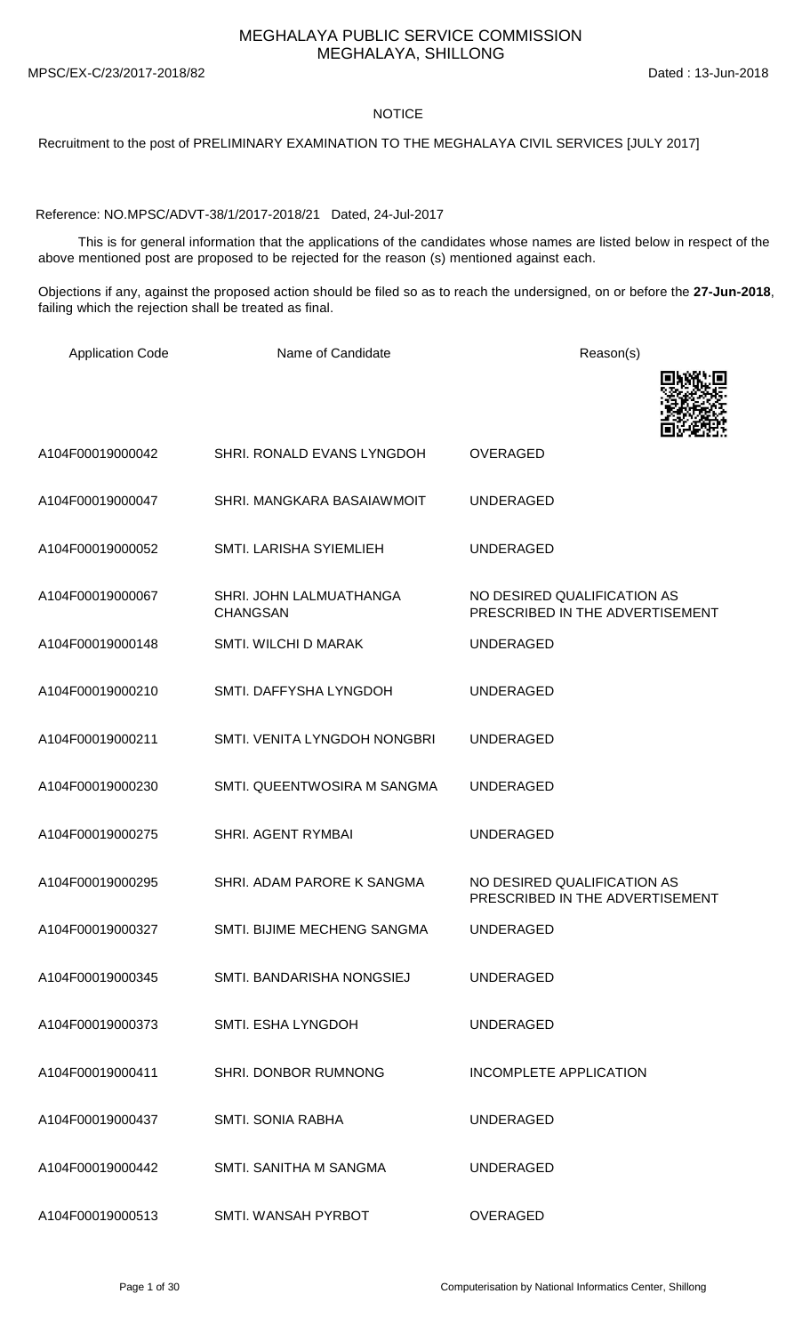MEGHALAYA PUBLIC SERVICE COMMISSION MEGHALAYA, SHILLONG

MPSC/EX-C/23/2017-2018/82 Dated : 13-Jun-2018

## NOTICE

Recruitment to the post of PRELIMINARY EXAMINATION TO THE MEGHALAYA CIVIL SERVICES [JULY 2017]

Reference: NO.MPSC/ADVT-38/1/2017-2018/21 Dated, 24-Jul-2017

This is for general information that the applications of the candidates whose names are listed below in respect of the above mentioned post are proposed to be rejected for the reason (s) mentioned against each.

Objections if any, against the proposed action should be filed so as to reach the undersigned, on or before the **27-Jun-2018**, failing which the rejection shall be treated as final.

| <b>Application Code</b> | Name of Candidate                          | Reason(s)                                                      |
|-------------------------|--------------------------------------------|----------------------------------------------------------------|
|                         |                                            |                                                                |
| A104F00019000042        | SHRI. RONALD EVANS LYNGDOH                 | <b>OVERAGED</b>                                                |
| A104F00019000047        | SHRI. MANGKARA BASAIAWMOIT                 | <b>UNDERAGED</b>                                               |
| A104F00019000052        | SMTI. LARISHA SYIEMLIEH                    | <b>UNDERAGED</b>                                               |
| A104F00019000067        | SHRI. JOHN LALMUATHANGA<br><b>CHANGSAN</b> | NO DESIRED QUALIFICATION AS<br>PRESCRIBED IN THE ADVERTISEMENT |
| A104F00019000148        | SMTI. WILCHI D MARAK                       | <b>UNDERAGED</b>                                               |
| A104F00019000210        | SMTI. DAFFYSHA LYNGDOH                     | <b>UNDERAGED</b>                                               |
| A104F00019000211        | SMTI. VENITA LYNGDOH NONGBRI               | <b>UNDERAGED</b>                                               |
| A104F00019000230        | SMTI. QUEENTWOSIRA M SANGMA                | <b>UNDERAGED</b>                                               |
| A104F00019000275        | <b>SHRI. AGENT RYMBAI</b>                  | <b>UNDERAGED</b>                                               |
| A104F00019000295        | SHRI. ADAM PARORE K SANGMA                 | NO DESIRED QUALIFICATION AS<br>PRESCRIBED IN THE ADVERTISEMENT |
| A104F00019000327        | SMTI. BIJIME MECHENG SANGMA                | <b>UNDERAGED</b>                                               |
| A104F00019000345        | SMTI. BANDARISHA NONGSIEJ                  | <b>UNDERAGED</b>                                               |
| A104F00019000373        | SMTI. ESHA LYNGDOH                         | <b>UNDERAGED</b>                                               |
| A104F00019000411        | SHRI. DONBOR RUMNONG                       | <b>INCOMPLETE APPLICATION</b>                                  |
| A104F00019000437        | <b>SMTI. SONIA RABHA</b>                   | <b>UNDERAGED</b>                                               |
| A104F00019000442        | SMTI. SANITHA M SANGMA                     | <b>UNDERAGED</b>                                               |
| A104F00019000513        | SMTI. WANSAH PYRBOT                        | <b>OVERAGED</b>                                                |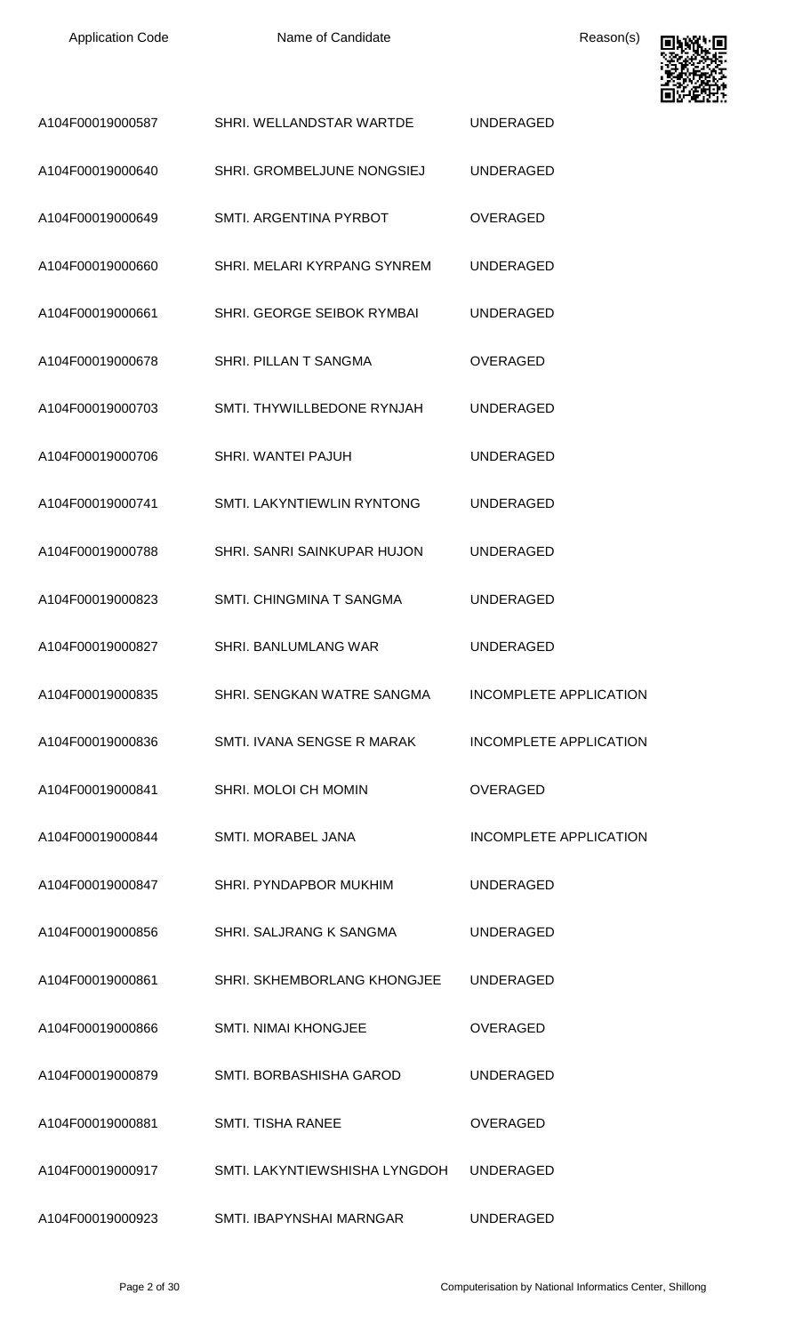

| A104F00019000587 | SHRI. WELLANDSTAR WARTDE      | <b>UNDERAGED</b>              |
|------------------|-------------------------------|-------------------------------|
| A104F00019000640 | SHRI. GROMBELJUNE NONGSIEJ    | <b>UNDERAGED</b>              |
| A104F00019000649 | SMTI. ARGENTINA PYRBOT        | <b>OVERAGED</b>               |
| A104F00019000660 | SHRI. MELARI KYRPANG SYNREM   | <b>UNDERAGED</b>              |
| A104F00019000661 | SHRI. GEORGE SEIBOK RYMBAI    | <b>UNDERAGED</b>              |
| A104F00019000678 | <b>SHRI. PILLAN T SANGMA</b>  | <b>OVERAGED</b>               |
| A104F00019000703 | SMTI. THYWILLBEDONE RYNJAH    | <b>UNDERAGED</b>              |
| A104F00019000706 | <b>SHRI. WANTEI PAJUH</b>     | <b>UNDERAGED</b>              |
| A104F00019000741 | SMTI. LAKYNTIEWLIN RYNTONG    | <b>UNDERAGED</b>              |
| A104F00019000788 | SHRI. SANRI SAINKUPAR HUJON   | <b>UNDERAGED</b>              |
| A104F00019000823 | SMTI. CHINGMINA T SANGMA      | <b>UNDERAGED</b>              |
| A104F00019000827 | SHRI. BANLUMLANG WAR          | <b>UNDERAGED</b>              |
| A104F00019000835 | SHRI. SENGKAN WATRE SANGMA    | <b>INCOMPLETE APPLICATION</b> |
| A104F00019000836 | SMTI. IVANA SENGSE R MARAK    | INCOMPLETE APPLICATION        |
| A104F00019000841 | SHRI. MOLOI CH MOMIN          | <b>OVERAGED</b>               |
| A104F00019000844 | SMTI. MORABEL JANA            | <b>INCOMPLETE APPLICATION</b> |
| A104F00019000847 | SHRI. PYNDAPBOR MUKHIM        | <b>UNDERAGED</b>              |
| A104F00019000856 | SHRI. SALJRANG K SANGMA       | <b>UNDERAGED</b>              |
| A104F00019000861 | SHRI. SKHEMBORLANG KHONGJEE   | <b>UNDERAGED</b>              |
| A104F00019000866 | SMTI. NIMAI KHONGJEE          | <b>OVERAGED</b>               |
| A104F00019000879 | SMTI. BORBASHISHA GAROD       | <b>UNDERAGED</b>              |
| A104F00019000881 | <b>SMTI. TISHA RANEE</b>      | <b>OVERAGED</b>               |
| A104F00019000917 | SMTI. LAKYNTIEWSHISHA LYNGDOH | <b>UNDERAGED</b>              |
| A104F00019000923 | SMTI. IBAPYNSHAI MARNGAR      | <b>UNDERAGED</b>              |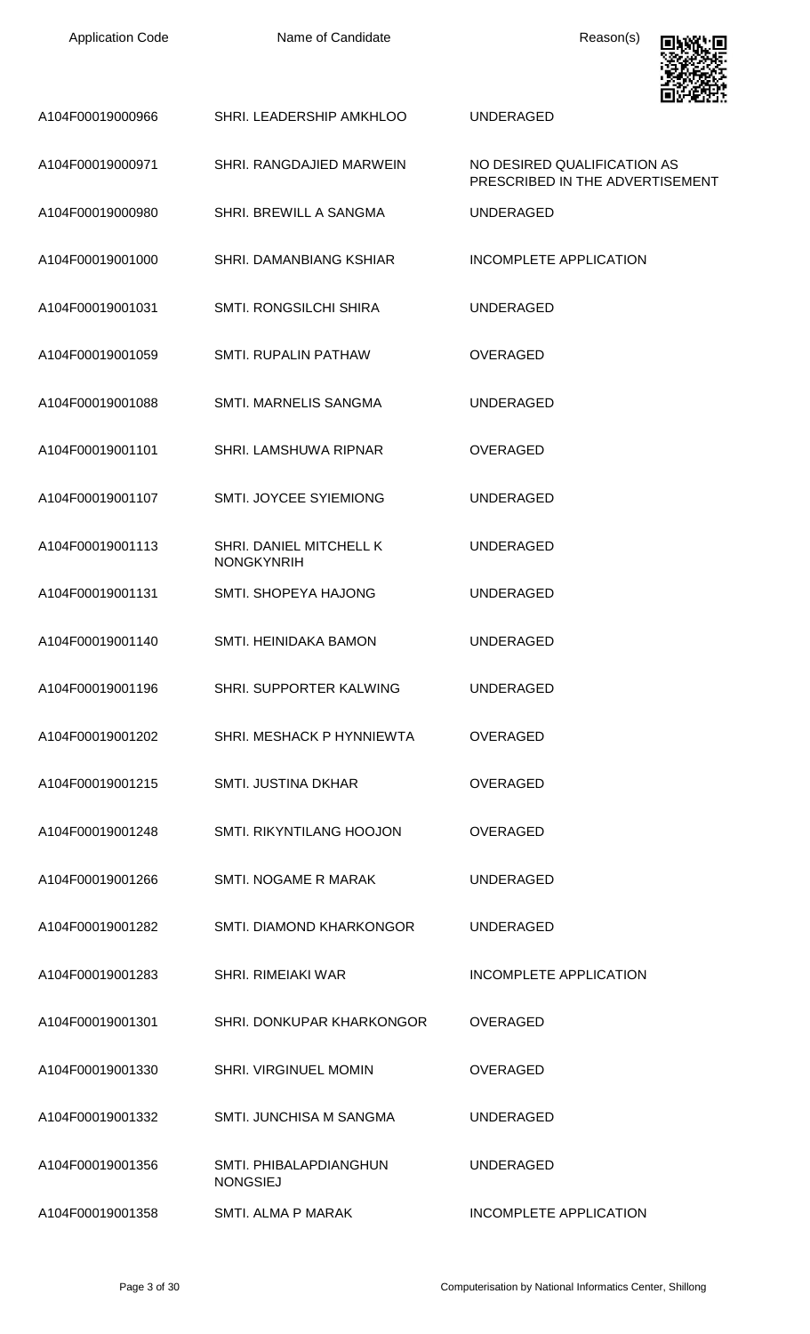| <b>Application Code</b> | Name of Candidate                            | Reason(s)                                                      |
|-------------------------|----------------------------------------------|----------------------------------------------------------------|
| A104F00019000966        | SHRI. LEADERSHIP AMKHLOO                     | <b>UNDERAGED</b>                                               |
| A104F00019000971        | SHRI. RANGDAJIED MARWEIN                     | NO DESIRED QUALIFICATION AS<br>PRESCRIBED IN THE ADVERTISEMENT |
| A104F00019000980        | SHRI. BREWILL A SANGMA                       | <b>UNDERAGED</b>                                               |
| A104F00019001000        | SHRI. DAMANBIANG KSHIAR                      | <b>INCOMPLETE APPLICATION</b>                                  |
| A104F00019001031        | <b>SMTI. RONGSILCHI SHIRA</b>                | <b>UNDERAGED</b>                                               |
| A104F00019001059        | SMTI. RUPALIN PATHAW                         | <b>OVERAGED</b>                                                |
| A104F00019001088        | SMTI. MARNELIS SANGMA                        | <b>UNDERAGED</b>                                               |
| A104F00019001101        | SHRI. LAMSHUWA RIPNAR                        | <b>OVERAGED</b>                                                |
| A104F00019001107        | SMTI. JOYCEE SYIEMIONG                       | <b>UNDERAGED</b>                                               |
| A104F00019001113        | SHRI. DANIEL MITCHELL K<br><b>NONGKYNRIH</b> | <b>UNDERAGED</b>                                               |
| A104F00019001131        | <b>SMTI. SHOPEYA HAJONG</b>                  | <b>UNDERAGED</b>                                               |
| A104F00019001140        | <b>SMTI. HEINIDAKA BAMON</b>                 | UNDERAGED                                                      |
| A104F00019001196        | SHRI. SUPPORTER KALWING                      | <b>UNDERAGED</b>                                               |
| A104F00019001202        | SHRI. MESHACK P HYNNIEWTA                    | <b>OVERAGED</b>                                                |
| A104F00019001215        | <b>SMTI. JUSTINA DKHAR</b>                   | <b>OVERAGED</b>                                                |
| A104F00019001248        | SMTI. RIKYNTILANG HOOJON                     | <b>OVERAGED</b>                                                |
| A104F00019001266        | SMTI. NOGAME R MARAK                         | <b>UNDERAGED</b>                                               |
| A104F00019001282        | SMTI, DIAMOND KHARKONGOR                     | <b>UNDERAGED</b>                                               |
| A104F00019001283        | <b>SHRI, RIMEIAKI WAR</b>                    | <b>INCOMPLETE APPLICATION</b>                                  |
| A104F00019001301        | SHRI. DONKUPAR KHARKONGOR                    | <b>OVERAGED</b>                                                |
| A104F00019001330        | SHRI. VIRGINUEL MOMIN                        | <b>OVERAGED</b>                                                |
| A104F00019001332        | <b>SMTI. JUNCHISA M SANGMA</b>               | <b>UNDERAGED</b>                                               |
| A104F00019001356        | SMTI. PHIBALAPDIANGHUN<br><b>NONGSIEJ</b>    | <b>UNDERAGED</b>                                               |
| A104F00019001358        | SMTI. ALMA P MARAK                           | INCOMPLETE APPLICATION                                         |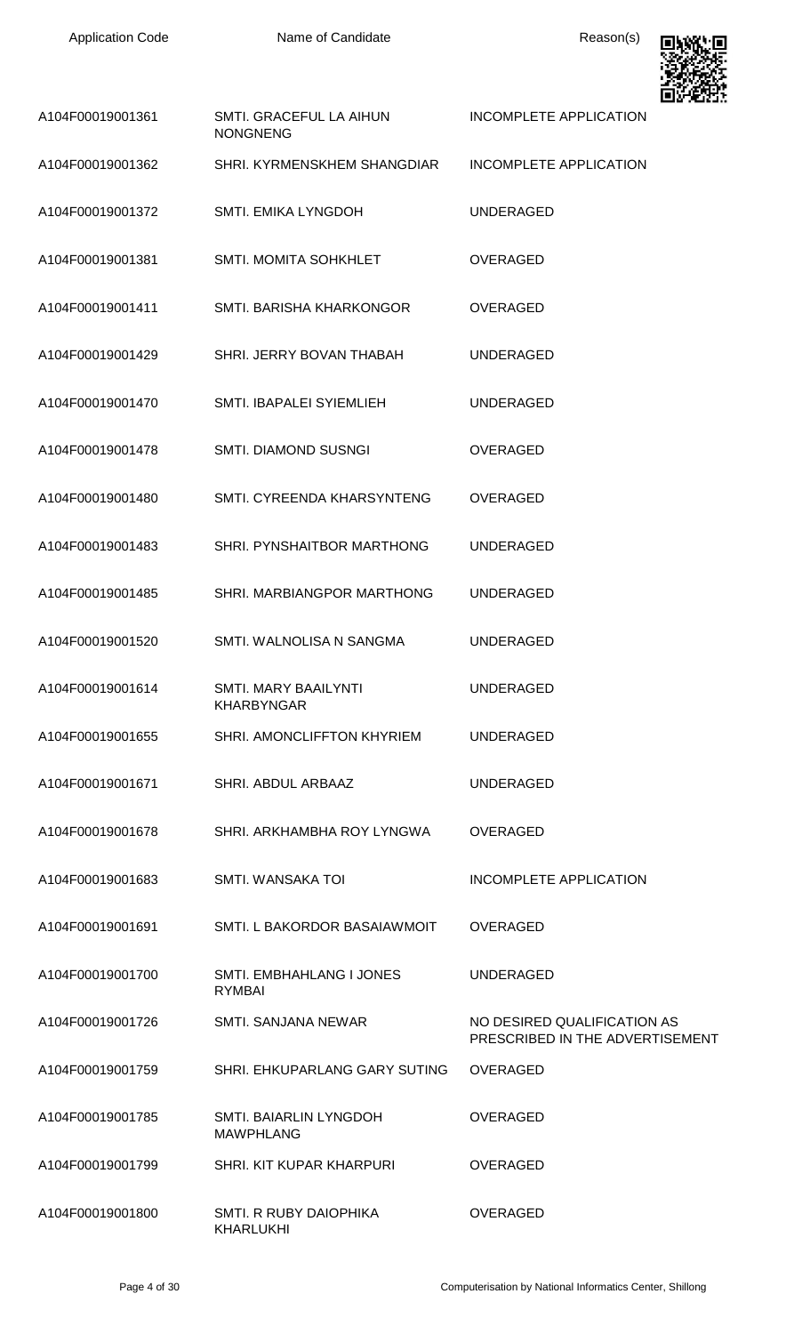| <b>Application Code</b> | Name of Candidate                                 | Reason(s)                                                      |
|-------------------------|---------------------------------------------------|----------------------------------------------------------------|
| A104F00019001361        | SMTI. GRACEFUL LA AIHUN<br><b>NONGNENG</b>        | INCOMPLETE APPLICATION                                         |
| A104F00019001362        | SHRI. KYRMENSKHEM SHANGDIAR                       | <b>INCOMPLETE APPLICATION</b>                                  |
| A104F00019001372        | SMTI. EMIKA LYNGDOH                               | <b>UNDERAGED</b>                                               |
| A104F00019001381        | SMTI. MOMITA SOHKHLET                             | <b>OVERAGED</b>                                                |
| A104F00019001411        | SMTI. BARISHA KHARKONGOR                          | <b>OVERAGED</b>                                                |
| A104F00019001429        | SHRI. JERRY BOVAN THABAH                          | <b>UNDERAGED</b>                                               |
| A104F00019001470        | SMTI. IBAPALEI SYIEMLIEH                          | <b>UNDERAGED</b>                                               |
| A104F00019001478        | SMTI. DIAMOND SUSNGI                              | <b>OVERAGED</b>                                                |
| A104F00019001480        | SMTI. CYREENDA KHARSYNTENG                        | <b>OVERAGED</b>                                                |
| A104F00019001483        | SHRI. PYNSHAITBOR MARTHONG                        | <b>UNDERAGED</b>                                               |
| A104F00019001485        | SHRI. MARBIANGPOR MARTHONG                        | <b>UNDERAGED</b>                                               |
| A104F00019001520        | SMTI. WALNOLISA N SANGMA                          | <b>UNDERAGED</b>                                               |
| A104F00019001614        | <b>SMTI. MARY BAAILYNTI</b><br><b>KHARBYNGAR</b>  | <b>UNDERAGED</b>                                               |
| A104F00019001655        | SHRI. AMONCLIFFTON KHYRIEM                        | <b>UNDERAGED</b>                                               |
| A104F00019001671        | SHRI. ABDUL ARBAAZ                                | <b>UNDERAGED</b>                                               |
| A104F00019001678        | SHRI. ARKHAMBHA ROY LYNGWA                        | <b>OVERAGED</b>                                                |
| A104F00019001683        | SMTI. WANSAKA TOI                                 | INCOMPLETE APPLICATION                                         |
| A104F00019001691        | SMTI. L BAKORDOR BASAIAWMOIT                      | <b>OVERAGED</b>                                                |
| A104F00019001700        | <b>SMTI. EMBHAHLANG I JONES</b><br>RYMBAI         | <b>UNDERAGED</b>                                               |
| A104F00019001726        | <b>SMTI, SANJANA NEWAR</b>                        | NO DESIRED QUALIFICATION AS<br>PRESCRIBED IN THE ADVERTISEMENT |
| A104F00019001759        | SHRI. EHKUPARLANG GARY SUTING                     | <b>OVERAGED</b>                                                |
| A104F00019001785        | <b>SMTI. BAIARLIN LYNGDOH</b><br><b>MAWPHLANG</b> | <b>OVERAGED</b>                                                |
| A104F00019001799        | SHRI. KIT KUPAR KHARPURI                          | <b>OVERAGED</b>                                                |
| A104F00019001800        | SMTI. R RUBY DAIOPHIKA                            | <b>OVERAGED</b>                                                |

KHARLUKHI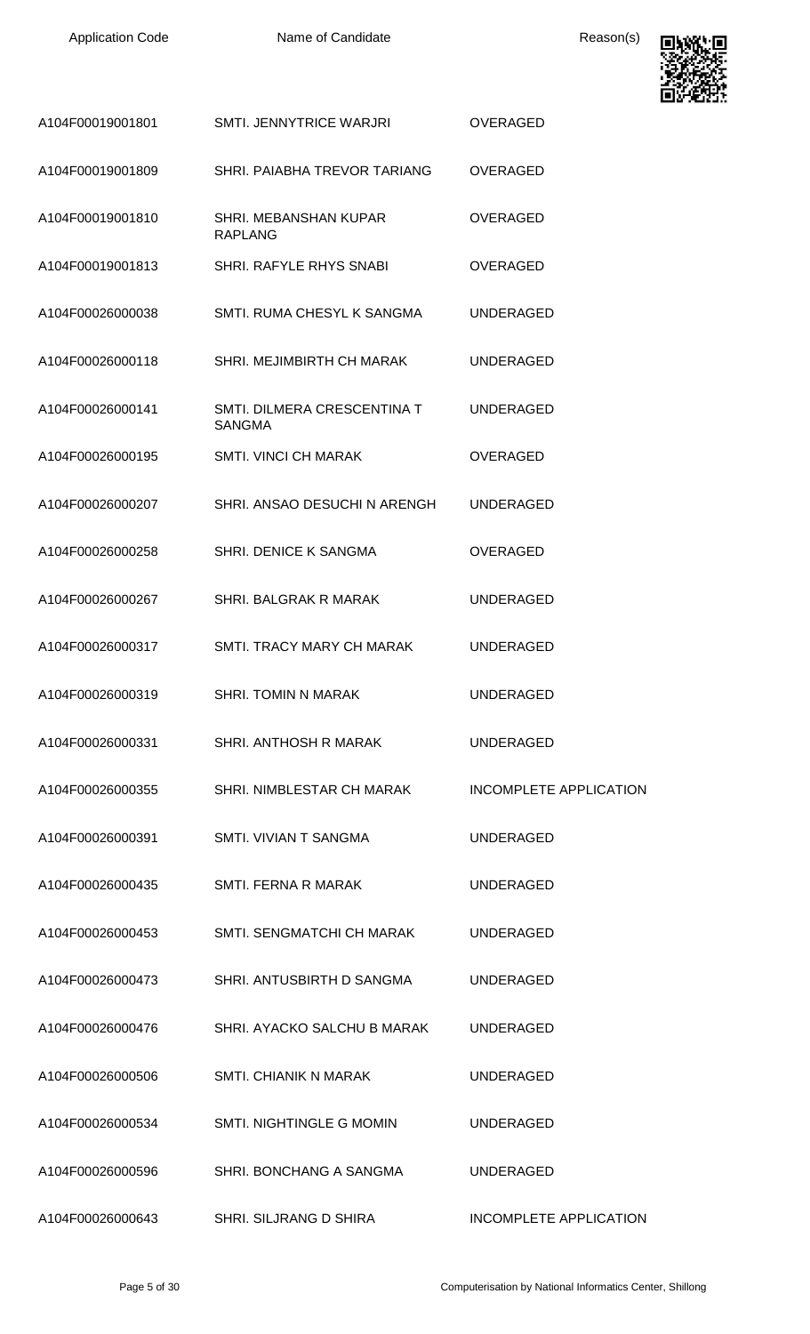

| A104F00019001801 | SMTI. JENNYTRICE WARJRI                      | <b>OVERAGED</b>               |
|------------------|----------------------------------------------|-------------------------------|
| A104F00019001809 | SHRI. PAIABHA TREVOR TARIANG                 | <b>OVERAGED</b>               |
| A104F00019001810 | SHRI. MEBANSHAN KUPAR<br><b>RAPLANG</b>      | <b>OVERAGED</b>               |
| A104F00019001813 | SHRI. RAFYLE RHYS SNABI                      | <b>OVERAGED</b>               |
| A104F00026000038 | SMTI, RUMA CHESYL K SANGMA                   | <b>UNDERAGED</b>              |
| A104F00026000118 | SHRI. MEJIMBIRTH CH MARAK                    | <b>UNDERAGED</b>              |
| A104F00026000141 | SMTI. DILMERA CRESCENTINA T<br><b>SANGMA</b> | <b>UNDERAGED</b>              |
| A104F00026000195 | <b>SMTI. VINCI CH MARAK</b>                  | <b>OVERAGED</b>               |
| A104F00026000207 | SHRI. ANSAO DESUCHI N ARENGH                 | <b>UNDERAGED</b>              |
| A104F00026000258 | SHRI. DENICE K SANGMA                        | <b>OVERAGED</b>               |
| A104F00026000267 | <b>SHRI. BALGRAK R MARAK</b>                 | <b>UNDERAGED</b>              |
| A104F00026000317 | SMTI. TRACY MARY CH MARAK                    | <b>UNDERAGED</b>              |
| A104F00026000319 | SHRI. TOMIN N MARAK                          | <b>UNDERAGED</b>              |
| A104F00026000331 | SHRI. ANTHOSH R MARAK                        | <b>UNDERAGED</b>              |
| A104F00026000355 | SHRI. NIMBLESTAR CH MARAK                    | <b>INCOMPLETE APPLICATION</b> |
| A104F00026000391 | SMTI. VIVIAN T SANGMA                        | <b>UNDERAGED</b>              |
| A104F00026000435 | SMTI. FERNA R MARAK                          | <b>UNDERAGED</b>              |
| A104F00026000453 | SMTI. SENGMATCHI CH MARAK                    | <b>UNDERAGED</b>              |
| A104F00026000473 | SHRI. ANTUSBIRTH D SANGMA                    | <b>UNDERAGED</b>              |
| A104F00026000476 | SHRI. AYACKO SALCHU B MARAK                  | <b>UNDERAGED</b>              |
| A104F00026000506 | SMTI. CHIANIK N MARAK                        | <b>UNDERAGED</b>              |
| A104F00026000534 | SMTI. NIGHTINGLE G MOMIN                     | <b>UNDERAGED</b>              |
| A104F00026000596 | SHRI. BONCHANG A SANGMA                      | <b>UNDERAGED</b>              |
| A104F00026000643 | SHRI. SILJRANG D SHIRA                       | <b>INCOMPLETE APPLICATION</b> |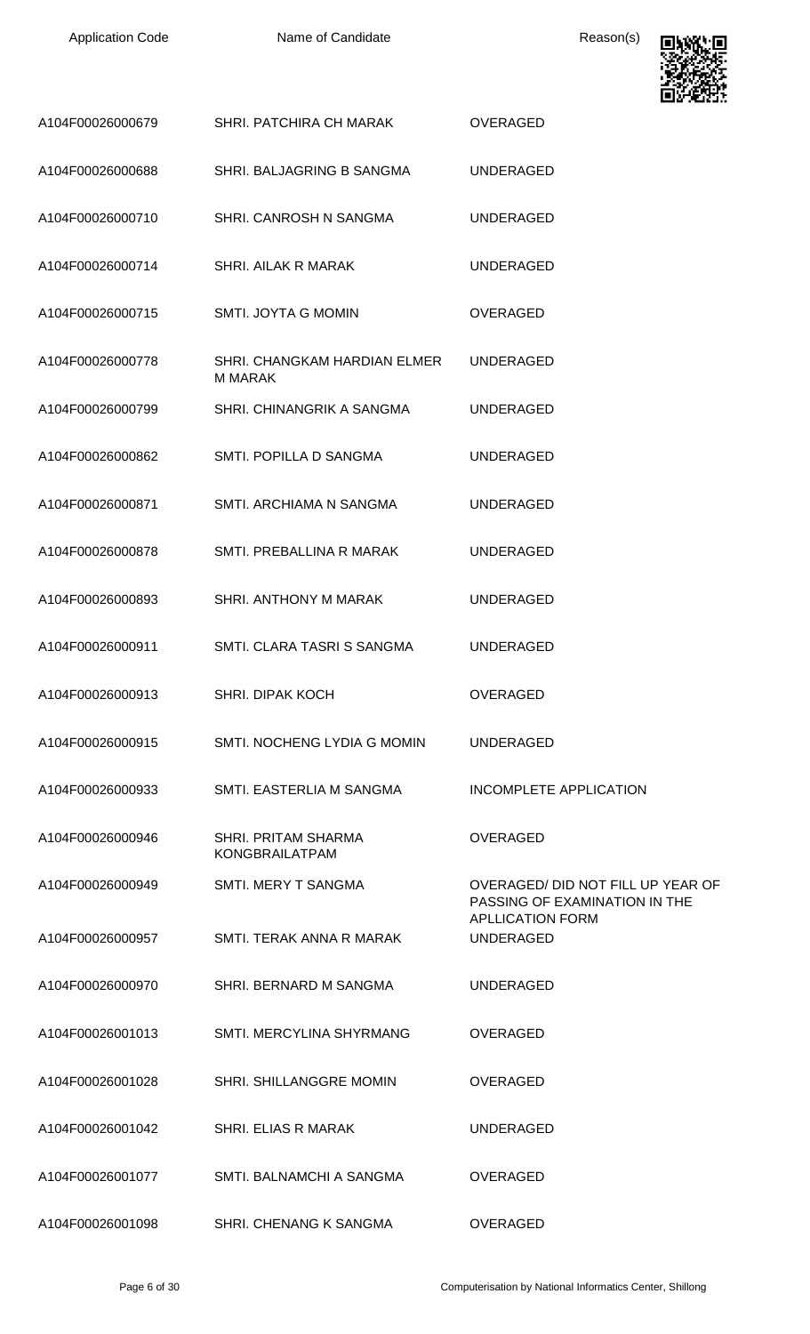

|                  |                                                | وموسع ومسا                                                                                   |
|------------------|------------------------------------------------|----------------------------------------------------------------------------------------------|
| A104F00026000679 | SHRI. PATCHIRA CH MARAK                        | <b>OVERAGED</b>                                                                              |
| A104F00026000688 | SHRI. BALJAGRING B SANGMA                      | <b>UNDERAGED</b>                                                                             |
| A104F00026000710 | SHRI. CANROSH N SANGMA                         | <b>UNDERAGED</b>                                                                             |
| A104F00026000714 | <b>SHRI. AILAK R MARAK</b>                     | <b>UNDERAGED</b>                                                                             |
| A104F00026000715 | SMTI. JOYTA G MOMIN                            | <b>OVERAGED</b>                                                                              |
| A104F00026000778 | SHRI. CHANGKAM HARDIAN ELMER<br><b>M MARAK</b> | <b>UNDERAGED</b>                                                                             |
| A104F00026000799 | SHRI. CHINANGRIK A SANGMA                      | <b>UNDERAGED</b>                                                                             |
| A104F00026000862 | SMTI. POPILLA D SANGMA                         | <b>UNDERAGED</b>                                                                             |
| A104F00026000871 | <b>SMTI. ARCHIAMA N SANGMA</b>                 | <b>UNDERAGED</b>                                                                             |
| A104F00026000878 | SMTI. PREBALLINA R MARAK                       | <b>UNDERAGED</b>                                                                             |
| A104F00026000893 | SHRI. ANTHONY M MARAK                          | <b>UNDERAGED</b>                                                                             |
| A104F00026000911 | SMTI. CLARA TASRI S SANGMA                     | <b>UNDERAGED</b>                                                                             |
| A104F00026000913 | SHRI. DIPAK KOCH                               | OVERAGED                                                                                     |
| A104F00026000915 | SMTI. NOCHENG LYDIA G MOMIN                    | UNDERAGED                                                                                    |
| A104F00026000933 | SMTI. EASTERLIA M SANGMA                       | INCOMPLETE APPLICATION                                                                       |
| A104F00026000946 | SHRI. PRITAM SHARMA<br><b>KONGBRAILATPAM</b>   | <b>OVERAGED</b>                                                                              |
| A104F00026000949 | <b>SMTI. MERY T SANGMA</b>                     | OVERAGED/DID NOT FILL UP YEAR OF<br>PASSING OF EXAMINATION IN THE<br><b>APLLICATION FORM</b> |
| A104F00026000957 | SMTI. TERAK ANNA R MARAK                       | <b>UNDERAGED</b>                                                                             |
| A104F00026000970 | SHRI. BERNARD M SANGMA                         | <b>UNDERAGED</b>                                                                             |
| A104F00026001013 | SMTI. MERCYLINA SHYRMANG                       | <b>OVERAGED</b>                                                                              |
| A104F00026001028 | SHRI. SHILLANGGRE MOMIN                        | <b>OVERAGED</b>                                                                              |
| A104F00026001042 | SHRI. ELIAS R MARAK                            | <b>UNDERAGED</b>                                                                             |
| A104F00026001077 | SMTI. BALNAMCHI A SANGMA                       | <b>OVERAGED</b>                                                                              |
| A104F00026001098 | SHRI. CHENANG K SANGMA                         | <b>OVERAGED</b>                                                                              |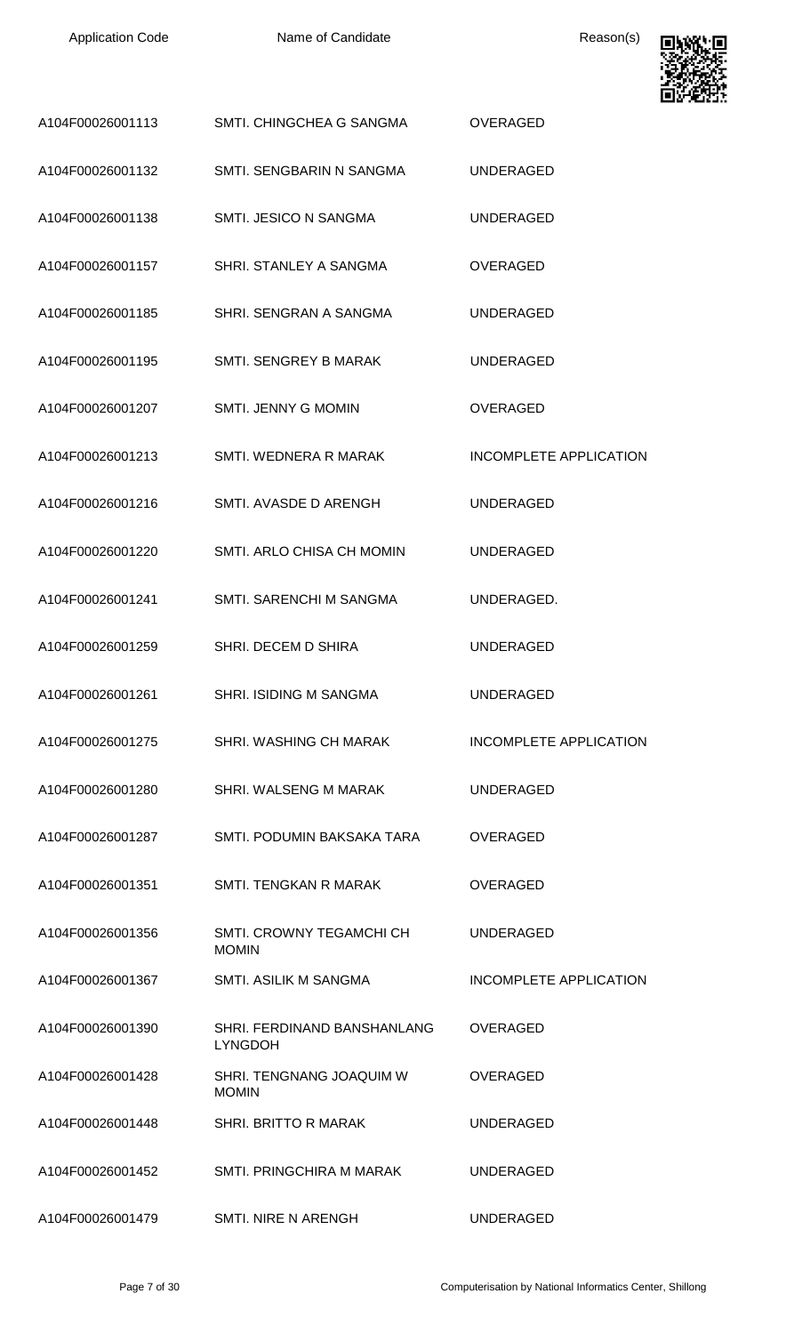

| A104F00026001113 | SMTI. CHINGCHEA G SANGMA                      | <b>OVERAGED</b>               |
|------------------|-----------------------------------------------|-------------------------------|
| A104F00026001132 | SMTI, SENGBARIN N SANGMA                      | UNDERAGED                     |
| A104F00026001138 | SMTI. JESICO N SANGMA                         | <b>UNDERAGED</b>              |
| A104F00026001157 | SHRI. STANLEY A SANGMA                        | <b>OVERAGED</b>               |
| A104F00026001185 | SHRI. SENGRAN A SANGMA                        | <b>UNDERAGED</b>              |
| A104F00026001195 | SMTI. SENGREY B MARAK                         | <b>UNDERAGED</b>              |
| A104F00026001207 | SMTI. JENNY G MOMIN                           | <b>OVERAGED</b>               |
| A104F00026001213 | SMTI. WEDNERA R MARAK                         | INCOMPLETE APPLICATION        |
| A104F00026001216 | SMTI. AVASDE D ARENGH                         | <b>UNDERAGED</b>              |
| A104F00026001220 | SMTI. ARLO CHISA CH MOMIN                     | <b>UNDERAGED</b>              |
| A104F00026001241 | SMTI. SARENCHI M SANGMA                       | UNDERAGED.                    |
| A104F00026001259 | SHRI. DECEM D SHIRA                           | <b>UNDERAGED</b>              |
| A104F00026001261 | SHRI. ISIDING M SANGMA                        | <b>UNDERAGED</b>              |
| A104F00026001275 | SHRI. WASHING CH MARAK                        | <b>INCOMPLETE APPLICATION</b> |
| A104F00026001280 | SHRI. WALSENG M MARAK                         | <b>UNDERAGED</b>              |
| A104F00026001287 | SMTI, PODUMIN BAKSAKA TARA                    | <b>OVERAGED</b>               |
| A104F00026001351 | SMTI. TENGKAN R MARAK                         | <b>OVERAGED</b>               |
| A104F00026001356 | SMTI, CROWNY TEGAMCHI CH<br><b>MOMIN</b>      | <b>UNDERAGED</b>              |
| A104F00026001367 | <b>SMTI. ASILIK M SANGMA</b>                  | <b>INCOMPLETE APPLICATION</b> |
| A104F00026001390 | SHRI. FERDINAND BANSHANLANG<br><b>LYNGDOH</b> | <b>OVERAGED</b>               |
| A104F00026001428 | SHRI. TENGNANG JOAQUIM W<br><b>MOMIN</b>      | <b>OVERAGED</b>               |
| A104F00026001448 | <b>SHRI. BRITTO R MARAK</b>                   | <b>UNDERAGED</b>              |
| A104F00026001452 | SMTI. PRINGCHIRA M MARAK                      | <b>UNDERAGED</b>              |
| A104F00026001479 | <b>SMTI. NIRE N ARENGH</b>                    | <b>UNDERAGED</b>              |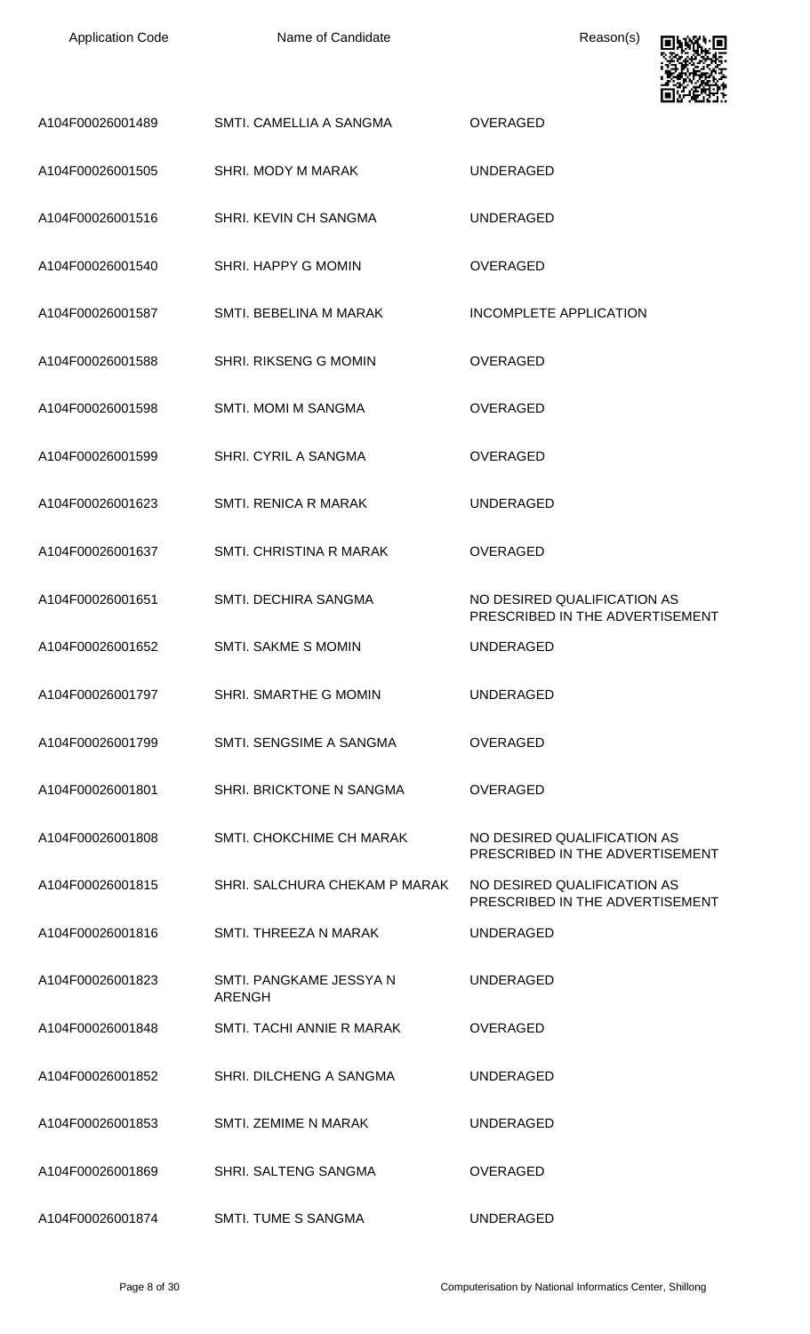| <b>Application Code</b> | Name of Candidate                        | Reason(s)                                                      |
|-------------------------|------------------------------------------|----------------------------------------------------------------|
| A104F00026001489        | SMTI. CAMELLIA A SANGMA                  | OVERAGED                                                       |
| A104F00026001505        | SHRI. MODY M MARAK                       | <b>UNDERAGED</b>                                               |
| A104F00026001516        | SHRI. KEVIN CH SANGMA                    | <b>UNDERAGED</b>                                               |
| A104F00026001540        | SHRI. HAPPY G MOMIN                      | <b>OVERAGED</b>                                                |
| A104F00026001587        | SMTI. BEBELINA M MARAK                   | <b>INCOMPLETE APPLICATION</b>                                  |
| A104F00026001588        | SHRI. RIKSENG G MOMIN                    | OVERAGED                                                       |
| A104F00026001598        | SMTI. MOMI M SANGMA                      | OVERAGED                                                       |
| A104F00026001599        | SHRI. CYRIL A SANGMA                     | <b>OVERAGED</b>                                                |
| A104F00026001623        | SMTI. RENICA R MARAK                     | <b>UNDERAGED</b>                                               |
| A104F00026001637        | SMTI. CHRISTINA R MARAK                  | OVERAGED                                                       |
| A104F00026001651        | SMTI. DECHIRA SANGMA                     | NO DESIRED QUALIFICATION AS<br>PRESCRIBED IN THE ADVERTISEMENT |
| A104F00026001652        | <b>SMTI. SAKME S MOMIN</b>               | <b>UNDERAGED</b>                                               |
| A104F00026001797        | SHRI. SMARTHE G MOMIN                    | <b>UNDERAGED</b>                                               |
| A104F00026001799        | SMTI. SENGSIME A SANGMA                  | <b>OVERAGED</b>                                                |
| A104F00026001801        | SHRI. BRICKTONE N SANGMA                 | <b>OVERAGED</b>                                                |
| A104F00026001808        | SMTI. CHOKCHIME CH MARAK                 | NO DESIRED QUALIFICATION AS<br>PRESCRIBED IN THE ADVERTISEMENT |
| A104F00026001815        | SHRI. SALCHURA CHEKAM P MARAK            | NO DESIRED QUALIFICATION AS<br>PRESCRIBED IN THE ADVERTISEMENT |
| A104F00026001816        | SMTI. THREEZA N MARAK                    | <b>UNDERAGED</b>                                               |
| A104F00026001823        | SMTI. PANGKAME JESSYA N<br><b>ARENGH</b> | <b>UNDERAGED</b>                                               |
| A104F00026001848        | SMTI. TACHI ANNIE R MARAK                | <b>OVERAGED</b>                                                |
| A104F00026001852        | SHRI. DILCHENG A SANGMA                  | <b>UNDERAGED</b>                                               |
| A104F00026001853        | SMTI. ZEMIME N MARAK                     | <b>UNDERAGED</b>                                               |
| A104F00026001869        | SHRI. SALTENG SANGMA                     | <b>OVERAGED</b>                                                |
| A104F00026001874        | SMTI. TUME S SANGMA                      | UNDERAGED                                                      |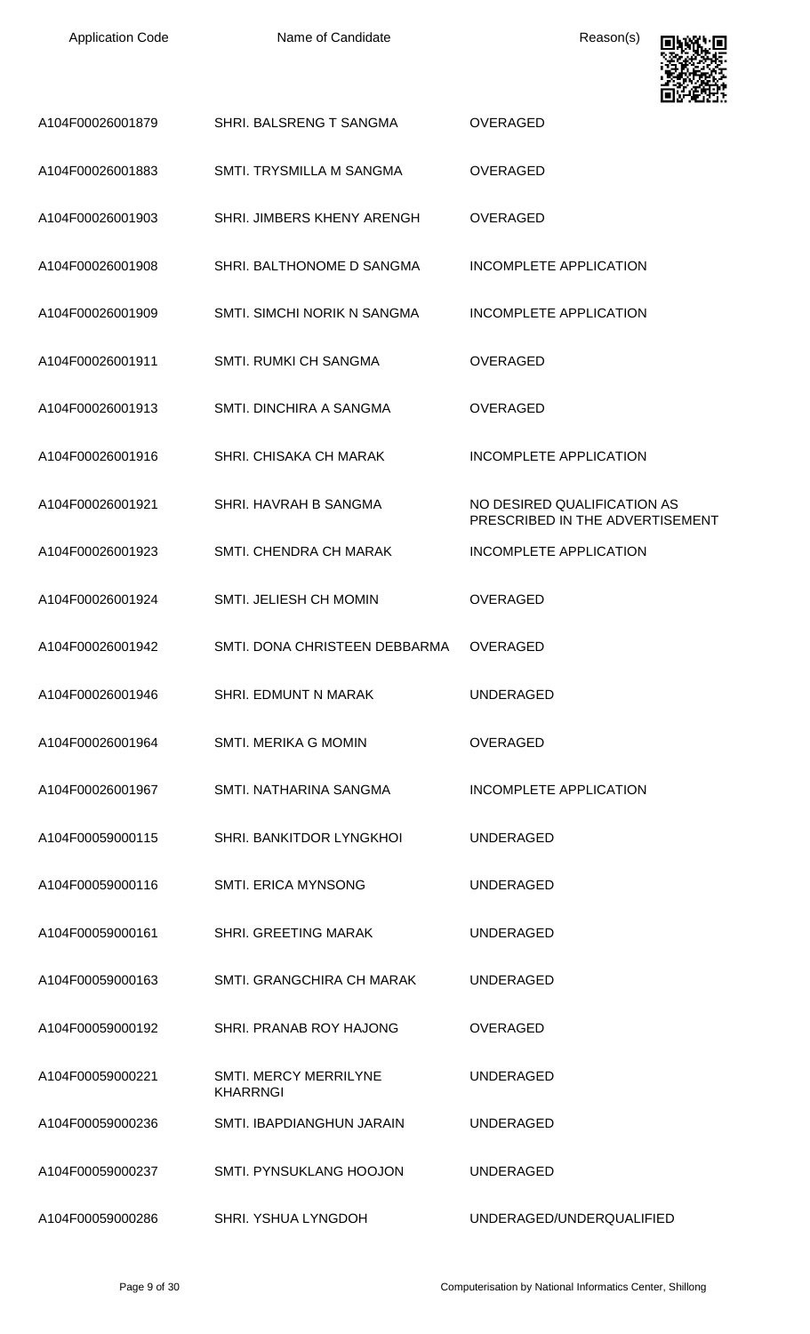

|                  |                                                 | وديك الماليا                                                   |
|------------------|-------------------------------------------------|----------------------------------------------------------------|
| A104F00026001879 | SHRI. BALSRENG T SANGMA                         | <b>OVERAGED</b>                                                |
| A104F00026001883 | SMTI. TRYSMILLA M SANGMA                        | <b>OVERAGED</b>                                                |
| A104F00026001903 | SHRI. JIMBERS KHENY ARENGH                      | <b>OVERAGED</b>                                                |
| A104F00026001908 | SHRI. BALTHONOME D SANGMA                       | INCOMPLETE APPLICATION                                         |
| A104F00026001909 | SMTI. SIMCHI NORIK N SANGMA                     | INCOMPLETE APPLICATION                                         |
| A104F00026001911 | <b>SMTI. RUMKI CH SANGMA</b>                    | <b>OVERAGED</b>                                                |
| A104F00026001913 | SMTI. DINCHIRA A SANGMA                         | <b>OVERAGED</b>                                                |
| A104F00026001916 | <b>SHRI. CHISAKA CH MARAK</b>                   | INCOMPLETE APPLICATION                                         |
| A104F00026001921 | SHRI. HAVRAH B SANGMA                           | NO DESIRED QUALIFICATION AS<br>PRESCRIBED IN THE ADVERTISEMENT |
| A104F00026001923 | SMTI. CHENDRA CH MARAK                          | <b>INCOMPLETE APPLICATION</b>                                  |
| A104F00026001924 | <b>SMTI. JELIESH CH MOMIN</b>                   | <b>OVERAGED</b>                                                |
| A104F00026001942 | SMTI. DONA CHRISTEEN DEBBARMA                   | <b>OVERAGED</b>                                                |
| A104F00026001946 | SHRI. EDMUNT N MARAK                            | <b>UNDERAGED</b>                                               |
| A104F00026001964 | <b>SMTI. MERIKA G MOMIN</b>                     | <b>OVERAGED</b>                                                |
| A104F00026001967 | SMTI. NATHARINA SANGMA                          | INCOMPLETE APPLICATION                                         |
| A104F00059000115 | SHRI. BANKITDOR LYNGKHOI                        | <b>UNDERAGED</b>                                               |
| A104F00059000116 | <b>SMTI. ERICA MYNSONG</b>                      | <b>UNDERAGED</b>                                               |
| A104F00059000161 | <b>SHRI. GREETING MARAK</b>                     | <b>UNDERAGED</b>                                               |
| A104F00059000163 | SMTI, GRANGCHIRA CH MARAK                       | UNDERAGED                                                      |
| A104F00059000192 | SHRI. PRANAB ROY HAJONG                         | <b>OVERAGED</b>                                                |
| A104F00059000221 | <b>SMTI. MERCY MERRILYNE</b><br><b>KHARRNGI</b> | <b>UNDERAGED</b>                                               |
| A104F00059000236 | SMTI. IBAPDIANGHUN JARAIN                       | <b>UNDERAGED</b>                                               |
| A104F00059000237 | <b>SMTI. PYNSUKLANG HOOJON</b>                  | <b>UNDERAGED</b>                                               |
| A104F00059000286 | SHRI. YSHUA LYNGDOH                             | UNDERAGED/UNDERQUALIFIED                                       |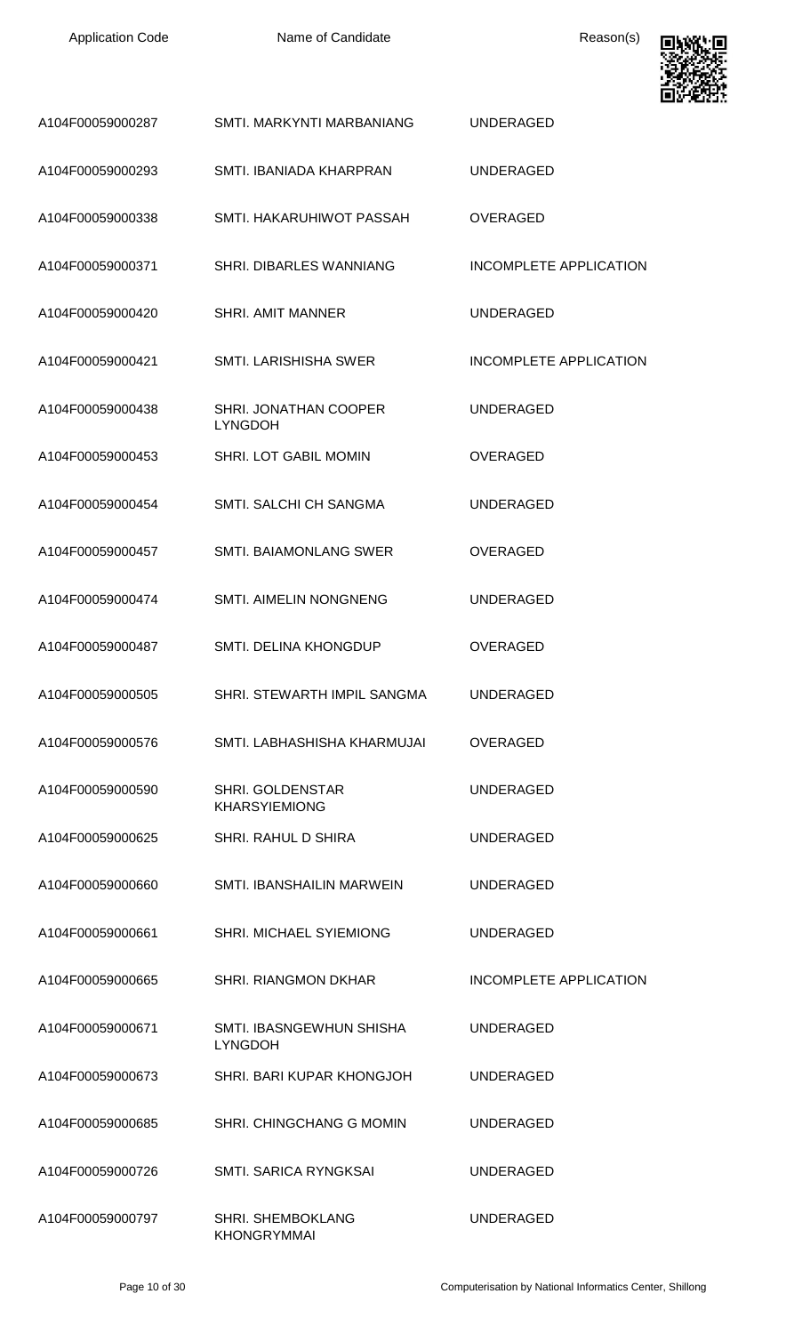

| A104F00059000287 | SMTI, MARKYNTI MARBANIANG                       | UNDERAGED              |
|------------------|-------------------------------------------------|------------------------|
| A104F00059000293 | SMTI. IBANIADA KHARPRAN                         | UNDERAGED              |
| A104F00059000338 | SMTI. HAKARUHIWOT PASSAH                        | <b>OVERAGED</b>        |
| A104F00059000371 | SHRI. DIBARLES WANNIANG                         | INCOMPLETE APPLICATION |
| A104F00059000420 | <b>SHRI. AMIT MANNER</b>                        | UNDERAGED              |
| A104F00059000421 | <b>SMTL LARISHISHA SWER</b>                     | INCOMPLETE APPLICATION |
| A104F00059000438 | SHRI. JONATHAN COOPER<br><b>LYNGDOH</b>         | UNDERAGED              |
| A104F00059000453 | <b>SHRI. LOT GABIL MOMIN</b>                    | OVERAGED               |
| A104F00059000454 | SMTI. SALCHI CH SANGMA                          | UNDERAGED              |
| A104F00059000457 | <b>SMTI. BAIAMONLANG SWER</b>                   | <b>OVERAGED</b>        |
| A104F00059000474 | <b>SMTI. AIMELIN NONGNENG</b>                   | UNDERAGED              |
| A104F00059000487 | SMTI. DELINA KHONGDUP                           | <b>OVERAGED</b>        |
| A104F00059000505 | SHRI. STEWARTH IMPIL SANGMA                     | <b>UNDERAGED</b>       |
| A104F00059000576 | SMTI. LABHASHISHA KHARMUJAI                     | <b>OVERAGED</b>        |
| A104F00059000590 | <b>SHRI. GOLDENSTAR</b><br><b>KHARSYIEMIONG</b> | <b>UNDERAGED</b>       |
| A104F00059000625 | SHRI. RAHUL D SHIRA                             | <b>UNDERAGED</b>       |
| A104F00059000660 | SMTI. IBANSHAILIN MARWEIN                       | <b>UNDERAGED</b>       |
| A104F00059000661 | SHRI. MICHAEL SYIEMIONG                         | <b>UNDERAGED</b>       |
| A104F00059000665 | <b>SHRI. RIANGMON DKHAR</b>                     | INCOMPLETE APPLICATION |
| A104F00059000671 | SMTI. IBASNGEWHUN SHISHA<br><b>LYNGDOH</b>      | <b>UNDERAGED</b>       |
| A104F00059000673 | SHRI. BARI KUPAR KHONGJOH                       | <b>UNDERAGED</b>       |
| A104F00059000685 | SHRI. CHINGCHANG G MOMIN                        | <b>UNDERAGED</b>       |
| A104F00059000726 | SMTI. SARICA RYNGKSAI                           | <b>UNDERAGED</b>       |
| A104F00059000797 | <b>SHRI. SHEMBOKLANG</b><br><b>KHONGRYMMAI</b>  | <b>UNDERAGED</b>       |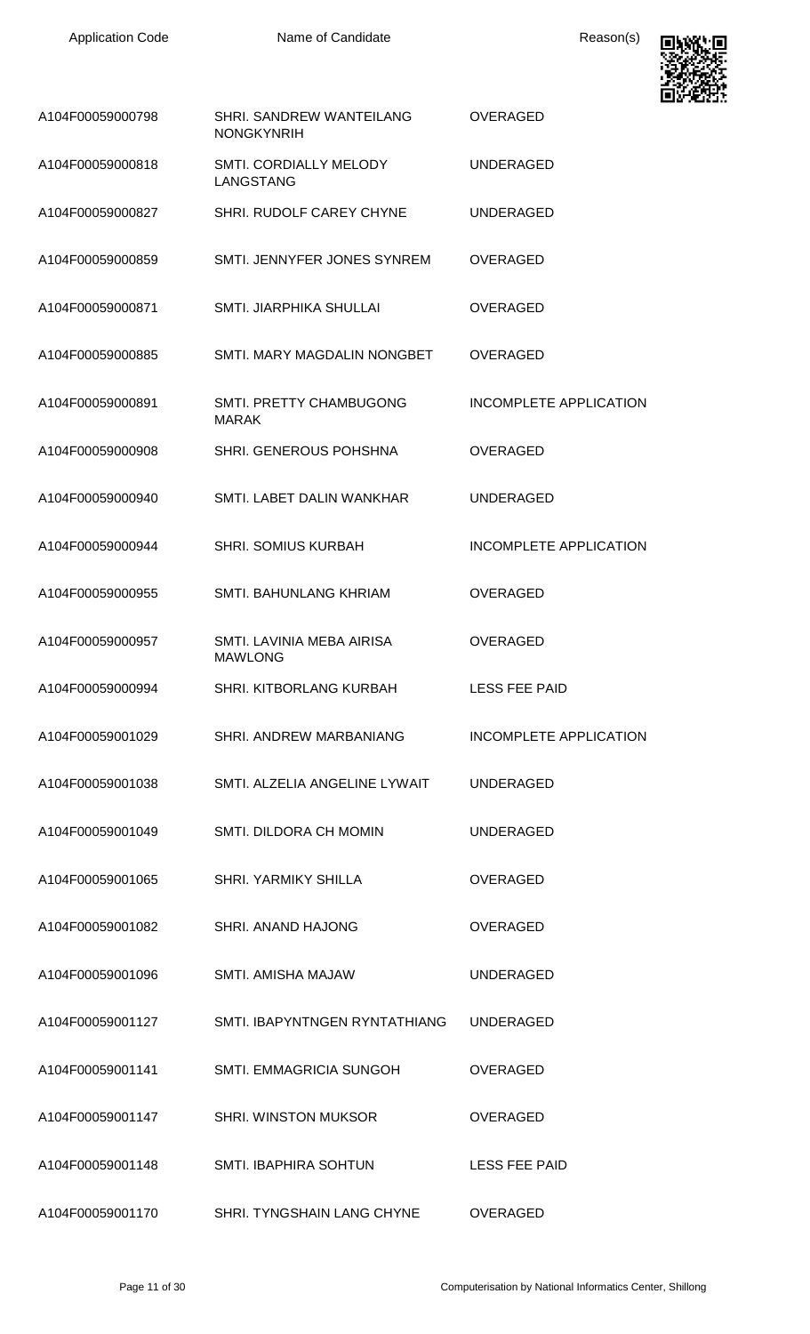

| A104F00059000798 | SHRI. SANDREW WANTEILANG<br><b>NONGKYNRIH</b> | <b>OVERAGED</b>               |
|------------------|-----------------------------------------------|-------------------------------|
| A104F00059000818 | SMTI. CORDIALLY MELODY<br><b>LANGSTANG</b>    | <b>UNDERAGED</b>              |
| A104F00059000827 | SHRI. RUDOLF CAREY CHYNE                      | <b>UNDERAGED</b>              |
| A104F00059000859 | SMTI. JENNYFER JONES SYNREM                   | <b>OVERAGED</b>               |
| A104F00059000871 | <b>SMTI. JIARPHIKA SHULLAI</b>                | <b>OVERAGED</b>               |
| A104F00059000885 | SMTI. MARY MAGDALIN NONGBET                   | <b>OVERAGED</b>               |
| A104F00059000891 | SMTI. PRETTY CHAMBUGONG<br><b>MARAK</b>       | INCOMPLETE APPLICATION        |
| A104F00059000908 | SHRI. GENEROUS POHSHNA                        | <b>OVERAGED</b>               |
| A104F00059000940 | SMTI. LABET DALIN WANKHAR                     | <b>UNDERAGED</b>              |
| A104F00059000944 | <b>SHRI. SOMIUS KURBAH</b>                    | INCOMPLETE APPLICATION        |
| A104F00059000955 | SMTI. BAHUNLANG KHRIAM                        | OVERAGED                      |
| A104F00059000957 | SMTI. LAVINIA MEBA AIRISA<br><b>MAWLONG</b>   | <b>OVERAGED</b>               |
| A104F00059000994 | SHRI. KITBORLANG KURBAH                       | <b>LESS FEE PAID</b>          |
| A104F00059001029 | SHRI. ANDREW MARBANIANG                       | <b>INCOMPLETE APPLICATION</b> |
| A104F00059001038 | SMTI. ALZELIA ANGELINE LYWAIT                 | <b>UNDERAGED</b>              |
| A104F00059001049 | SMTI. DILDORA CH MOMIN                        | <b>UNDERAGED</b>              |
| A104F00059001065 | <b>SHRI. YARMIKY SHILLA</b>                   | <b>OVERAGED</b>               |
| A104F00059001082 | <b>SHRI. ANAND HAJONG</b>                     | <b>OVERAGED</b>               |
| A104F00059001096 | <b>SMTI. AMISHA MAJAW</b>                     | <b>UNDERAGED</b>              |
| A104F00059001127 | SMTI. IBAPYNTNGEN RYNTATHIANG                 | <b>UNDERAGED</b>              |
| A104F00059001141 | SMTI. EMMAGRICIA SUNGOH                       | <b>OVERAGED</b>               |
| A104F00059001147 | <b>SHRI. WINSTON MUKSOR</b>                   | <b>OVERAGED</b>               |
| A104F00059001148 | SMTI. IBAPHIRA SOHTUN                         | <b>LESS FEE PAID</b>          |
| A104F00059001170 | SHRI. TYNGSHAIN LANG CHYNE                    | OVERAGED                      |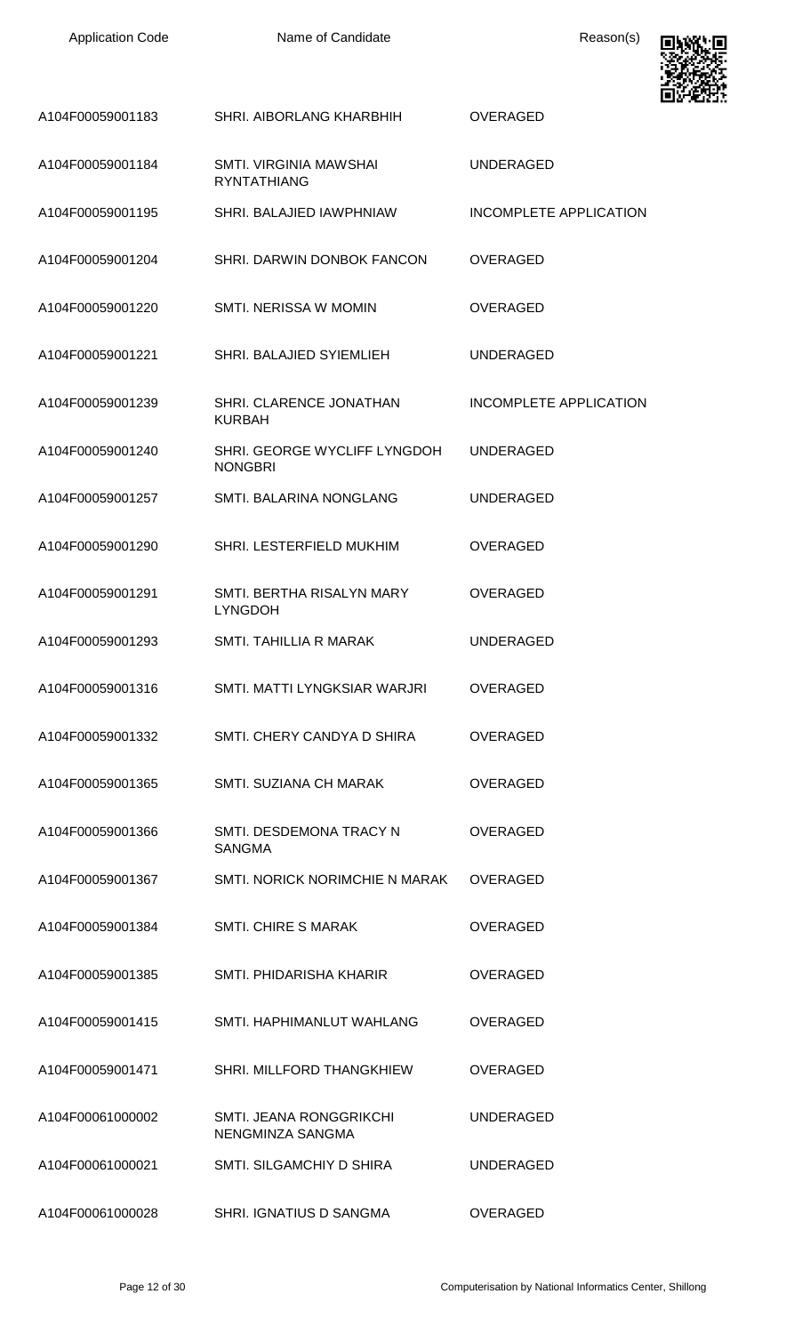| <b>Application Code</b> | Name of Candidate                                   | Reason(s)                     |  |
|-------------------------|-----------------------------------------------------|-------------------------------|--|
| A104F00059001183        | SHRI. AIBORLANG KHARBHIH                            | <b>OVERAGED</b>               |  |
| A104F00059001184        | <b>SMTI. VIRGINIA MAWSHAI</b><br><b>RYNTATHIANG</b> | <b>UNDERAGED</b>              |  |
| A104F00059001195        | SHRI. BALAJIED IAWPHNIAW                            | INCOMPLETE APPLICATION        |  |
| A104F00059001204        | SHRI. DARWIN DONBOK FANCON                          | <b>OVERAGED</b>               |  |
| A104F00059001220        | SMTI. NERISSA W MOMIN                               | <b>OVERAGED</b>               |  |
| A104F00059001221        | SHRI. BALAJIED SYIEMLIEH                            | <b>UNDERAGED</b>              |  |
| A104F00059001239        | SHRI. CLARENCE JONATHAN<br><b>KURBAH</b>            | <b>INCOMPLETE APPLICATION</b> |  |
| A104F00059001240        | SHRI. GEORGE WYCLIFF LYNGDOH<br><b>NONGBRI</b>      | <b>UNDERAGED</b>              |  |
| A104F00059001257        | SMTI. BALARINA NONGLANG                             | <b>UNDERAGED</b>              |  |
| A104F00059001290        | SHRI. LESTERFIELD MUKHIM                            | <b>OVERAGED</b>               |  |
| A104F00059001291        | SMTI. BERTHA RISALYN MARY<br><b>LYNGDOH</b>         | <b>OVERAGED</b>               |  |
| A104F00059001293        | <b>SMTI. TAHILLIA R MARAK</b>                       | <b>UNDERAGED</b>              |  |
| A104F00059001316        | SMTI. MATTI LYNGKSIAR WARJRI                        | <b>OVERAGED</b>               |  |
| A104F00059001332        | SMTI. CHERY CANDYA D SHIRA                          | <b>OVERAGED</b>               |  |
| A104F00059001365        | SMTI, SUZIANA CH MARAK                              | <b>OVERAGED</b>               |  |
| A104F00059001366        | SMTI. DESDEMONA TRACY N<br><b>SANGMA</b>            | <b>OVERAGED</b>               |  |
| A104F00059001367        | SMTI. NORICK NORIMCHIE N MARAK                      | <b>OVERAGED</b>               |  |
| A104F00059001384        | <b>SMTI. CHIRE S MARAK</b>                          | <b>OVERAGED</b>               |  |
| A104F00059001385        | SMTI. PHIDARISHA KHARIR                             | <b>OVERAGED</b>               |  |
| A104F00059001415        | SMTI. HAPHIMANLUT WAHLANG                           | <b>OVERAGED</b>               |  |
| A104F00059001471        | SHRI. MILLFORD THANGKHIEW                           | <b>OVERAGED</b>               |  |
| A104F00061000002        | <b>SMTI. JEANA RONGGRIKCHI</b><br>NENGMINZA SANGMA  | <b>UNDERAGED</b>              |  |
| A104F00061000021        | SMTI. SILGAMCHIY D SHIRA                            | <b>UNDERAGED</b>              |  |
| A104F00061000028        | SHRI. IGNATIUS D SANGMA                             | OVERAGED                      |  |

Ð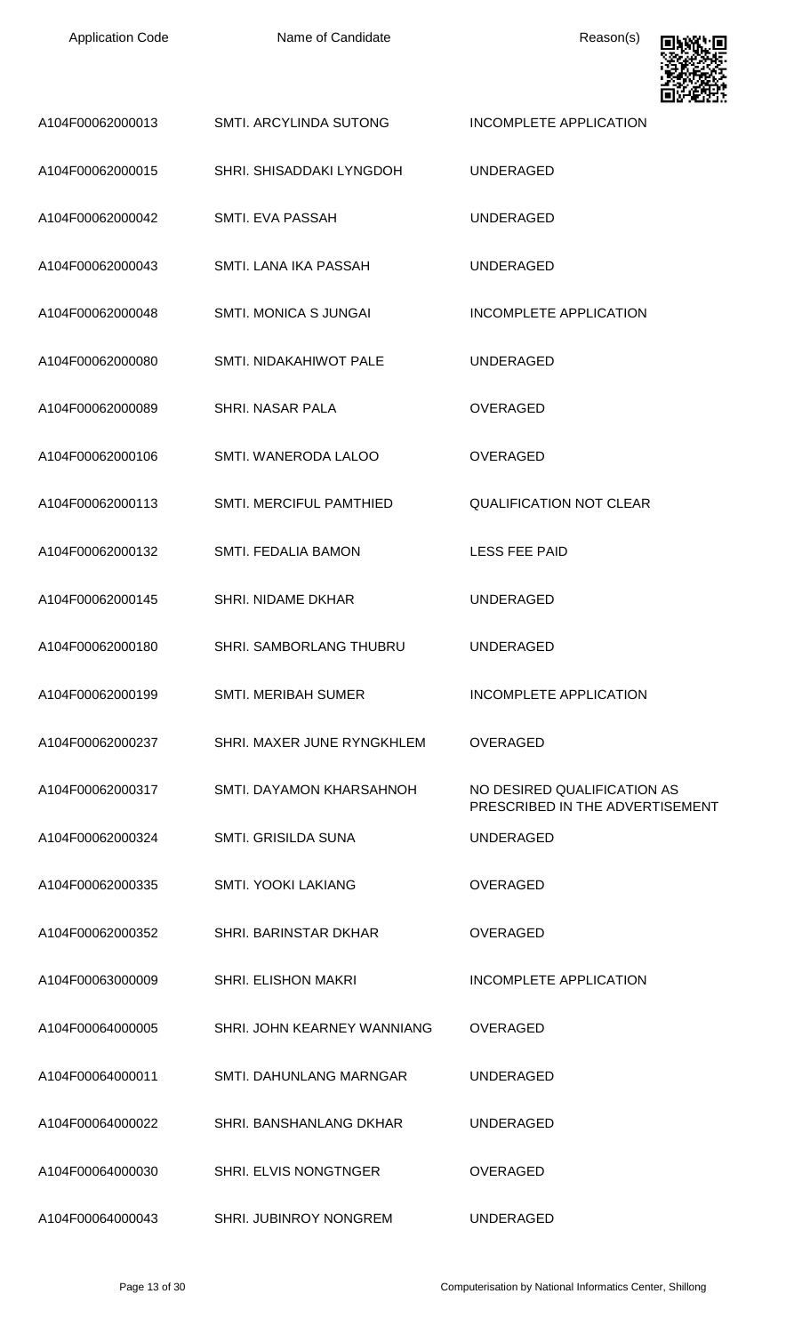| <b>Application Code</b> | Name of Candidate              | Reason(s)                                                      |
|-------------------------|--------------------------------|----------------------------------------------------------------|
| A104F00062000013        | SMTI. ARCYLINDA SUTONG         | <b>INCOMPLETE APPLICATION</b>                                  |
| A104F00062000015        | SHRI. SHISADDAKI LYNGDOH       | <b>UNDERAGED</b>                                               |
| A104F00062000042        | SMTI. EVA PASSAH               | <b>UNDERAGED</b>                                               |
| A104F00062000043        | SMTI. LANA IKA PASSAH          | <b>UNDERAGED</b>                                               |
| A104F00062000048        | <b>SMTI. MONICA S JUNGAI</b>   | INCOMPLETE APPLICATION                                         |
| A104F00062000080        | SMTI. NIDAKAHIWOT PALE         | <b>UNDERAGED</b>                                               |
| A104F00062000089        | SHRI. NASAR PALA               | <b>OVERAGED</b>                                                |
| A104F00062000106        | SMTI. WANERODA LALOO           | <b>OVERAGED</b>                                                |
| A104F00062000113        | <b>SMTI. MERCIFUL PAMTHIED</b> | <b>QUALIFICATION NOT CLEAR</b>                                 |
| A104F00062000132        | SMTI. FEDALIA BAMON            | <b>LESS FEE PAID</b>                                           |
| A104F00062000145        | <b>SHRI. NIDAME DKHAR</b>      | <b>UNDERAGED</b>                                               |
| A104F00062000180        | SHRI. SAMBORLANG THUBRU        | UNDERAGED                                                      |
| A104F00062000199        | <b>SMTI. MERIBAH SUMER</b>     | INCOMPLETE APPLICATION                                         |
| A104F00062000237        | SHRI. MAXER JUNE RYNGKHLEM     | <b>OVERAGED</b>                                                |
| A104F00062000317        | SMTI. DAYAMON KHARSAHNOH       | NO DESIRED QUALIFICATION AS<br>PRESCRIBED IN THE ADVERTISEMENT |
| A104F00062000324        | SMTI. GRISILDA SUNA            | <b>UNDERAGED</b>                                               |
| A104F00062000335        | <b>SMTI. YOOKI LAKIANG</b>     | OVERAGED                                                       |
| A104F00062000352        | <b>SHRI. BARINSTAR DKHAR</b>   | <b>OVERAGED</b>                                                |
| A104F00063000009        | <b>SHRI. ELISHON MAKRI</b>     | INCOMPLETE APPLICATION                                         |
| A104F00064000005        | SHRI. JOHN KEARNEY WANNIANG    | <b>OVERAGED</b>                                                |
| A104F00064000011        | SMTI. DAHUNLANG MARNGAR        | <b>UNDERAGED</b>                                               |
| A104F00064000022        | SHRI, BANSHANLANG DKHAR        | <b>UNDERAGED</b>                                               |
| A104F00064000030        | <b>SHRI. ELVIS NONGTNGER</b>   | <b>OVERAGED</b>                                                |
| A104F00064000043        | SHRI. JUBINROY NONGREM         | <b>UNDERAGED</b>                                               |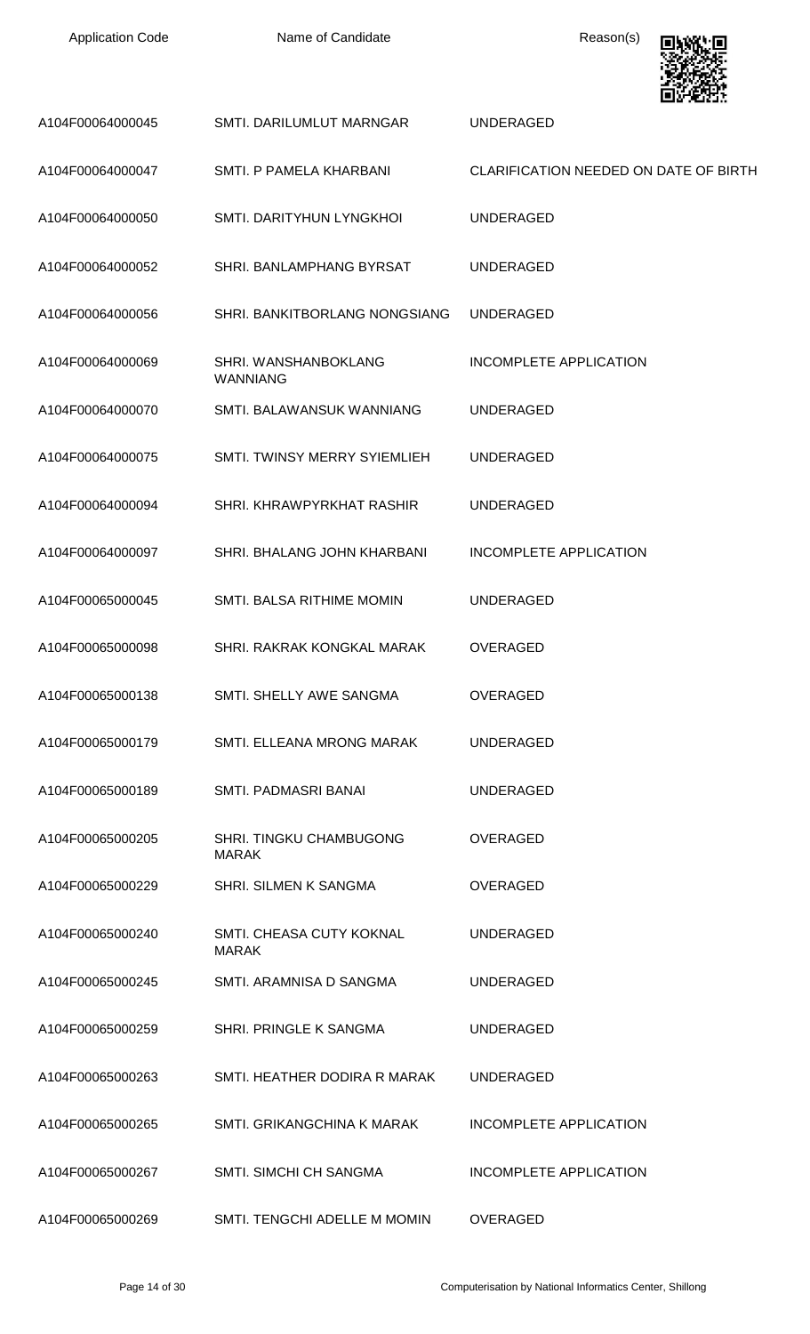| <b>Application Code</b> | Name of Candidate                        | Reason(s)                             |
|-------------------------|------------------------------------------|---------------------------------------|
| A104F00064000045        | SMTI. DARILUMLUT MARNGAR                 | <b>UNDERAGED</b>                      |
| A104F00064000047        | SMTI. P PAMELA KHARBANI                  | CLARIFICATION NEEDED ON DATE OF BIRTH |
| A104F00064000050        | SMTI. DARITYHUN LYNGKHOI                 | <b>UNDERAGED</b>                      |
| A104F00064000052        | SHRI. BANLAMPHANG BYRSAT                 | <b>UNDERAGED</b>                      |
| A104F00064000056        | SHRI. BANKITBORLANG NONGSIANG            | <b>UNDERAGED</b>                      |
| A104F00064000069        | SHRI. WANSHANBOKLANG<br><b>WANNIANG</b>  | <b>INCOMPLETE APPLICATION</b>         |
| A104F00064000070        | SMTI. BALAWANSUK WANNIANG                | <b>UNDERAGED</b>                      |
| A104F00064000075        | SMTI. TWINSY MERRY SYIEMLIEH             | <b>UNDERAGED</b>                      |
| A104F00064000094        | SHRI. KHRAWPYRKHAT RASHIR                | <b>UNDERAGED</b>                      |
| A104F00064000097        | SHRI. BHALANG JOHN KHARBANI              | <b>INCOMPLETE APPLICATION</b>         |
| A104F00065000045        | SMTI. BALSA RITHIME MOMIN                | <b>UNDERAGED</b>                      |
| A104F00065000098        | SHRI. RAKRAK KONGKAL MARAK               | <b>OVERAGED</b>                       |
| A104F00065000138        | SMTI, SHELLY AWE SANGMA                  | <b>OVERAGED</b>                       |
| A104F00065000179        | SMTI. ELLEANA MRONG MARAK                | <b>UNDERAGED</b>                      |
| A104F00065000189        | <b>SMTI. PADMASRI BANAI</b>              | <b>UNDERAGED</b>                      |
| A104F00065000205        | SHRI. TINGKU CHAMBUGONG<br><b>MARAK</b>  | <b>OVERAGED</b>                       |
| A104F00065000229        | SHRI. SILMEN K SANGMA                    | <b>OVERAGED</b>                       |
| A104F00065000240        | SMTI. CHEASA CUTY KOKNAL<br><b>MARAK</b> | <b>UNDERAGED</b>                      |
| A104F00065000245        | SMTI. ARAMNISA D SANGMA                  | <b>UNDERAGED</b>                      |
| A104F00065000259        | SHRI. PRINGLE K SANGMA                   | <b>UNDERAGED</b>                      |
| A104F00065000263        | SMTI. HEATHER DODIRA R MARAK             | <b>UNDERAGED</b>                      |
| A104F00065000265        | SMTI. GRIKANGCHINA K MARAK               | <b>INCOMPLETE APPLICATION</b>         |
| A104F00065000267        | SMTI. SIMCHI CH SANGMA                   | <b>INCOMPLETE APPLICATION</b>         |
| A104F00065000269        | SMTI. TENGCHI ADELLE M MOMIN             | <b>OVERAGED</b>                       |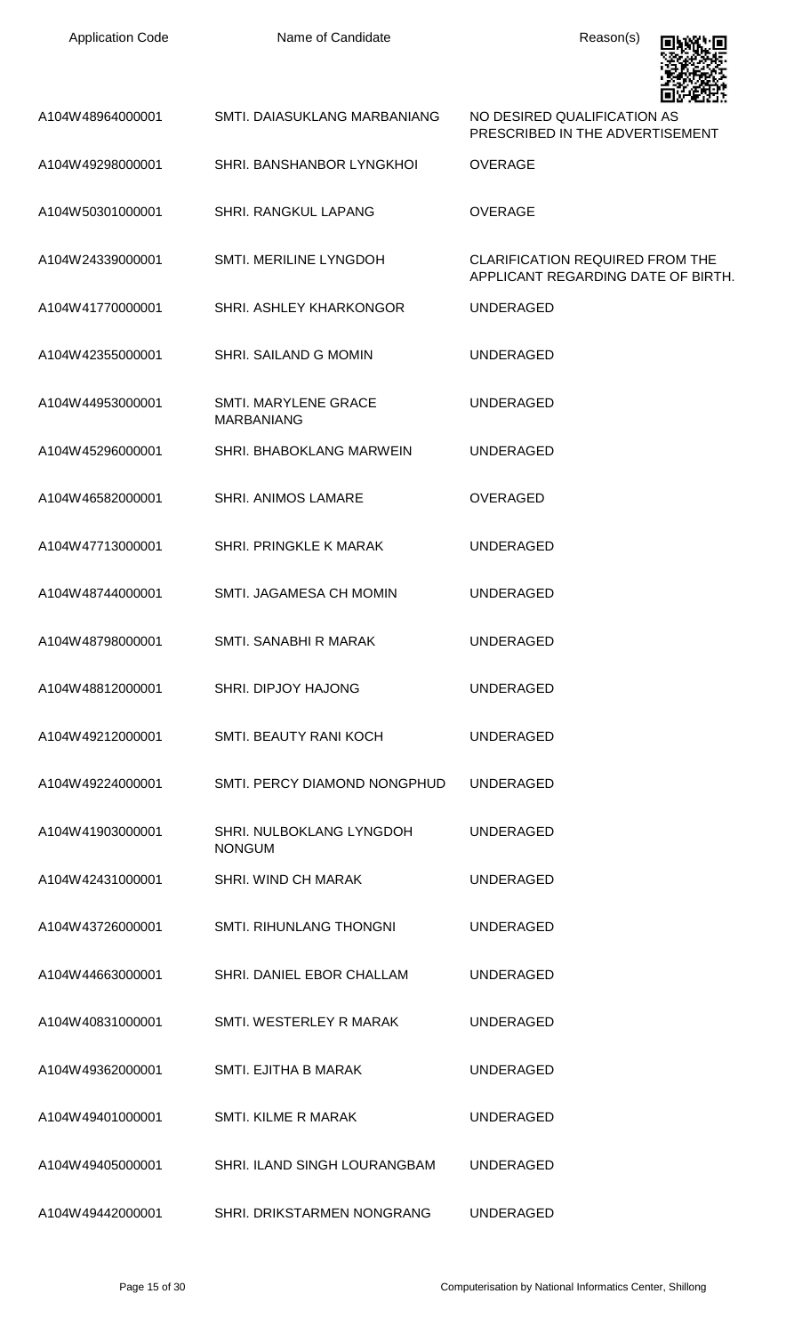| <b>Application Code</b> | Name of Candidate                                | Reason(s)                                                                    |
|-------------------------|--------------------------------------------------|------------------------------------------------------------------------------|
| A104W48964000001        | SMTI. DAIASUKLANG MARBANIANG                     | NO DESIRED QUALIFICATION AS<br>PRESCRIBED IN THE ADVERTISEMENT               |
| A104W49298000001        | SHRI. BANSHANBOR LYNGKHOI                        | <b>OVERAGE</b>                                                               |
| A104W50301000001        | <b>SHRI. RANGKUL LAPANG</b>                      | <b>OVERAGE</b>                                                               |
| A104W24339000001        | <b>SMTI. MERILINE LYNGDOH</b>                    | <b>CLARIFICATION REQUIRED FROM THE</b><br>APPLICANT REGARDING DATE OF BIRTH. |
| A104W41770000001        | SHRI. ASHLEY KHARKONGOR                          | <b>UNDERAGED</b>                                                             |
| A104W42355000001        | SHRI, SAILAND G MOMIN                            | <b>UNDERAGED</b>                                                             |
| A104W44953000001        | <b>SMTI. MARYLENE GRACE</b><br><b>MARBANIANG</b> | <b>UNDERAGED</b>                                                             |
| A104W45296000001        | SHRI. BHABOKLANG MARWEIN                         | <b>UNDERAGED</b>                                                             |
| A104W46582000001        | SHRI. ANIMOS LAMARE                              | <b>OVERAGED</b>                                                              |
| A104W47713000001        | <b>SHRI. PRINGKLE K MARAK</b>                    | <b>UNDERAGED</b>                                                             |
| A104W48744000001        | SMTI. JAGAMESA CH MOMIN                          | <b>UNDERAGED</b>                                                             |
| A104W48798000001        | SMTI. SANABHI R MARAK                            | <b>UNDERAGED</b>                                                             |
| A104W48812000001        | <b>SHRI. DIPJOY HAJONG</b>                       | <b>UNDERAGED</b>                                                             |
| A104W49212000001        | SMTI. BEAUTY RANI KOCH                           | <b>UNDERAGED</b>                                                             |
| A104W49224000001        | SMTI. PERCY DIAMOND NONGPHUD                     | <b>UNDERAGED</b>                                                             |
| A104W41903000001        | SHRI. NULBOKLANG LYNGDOH<br><b>NONGUM</b>        | <b>UNDERAGED</b>                                                             |
| A104W42431000001        | SHRI. WIND CH MARAK                              | <b>UNDERAGED</b>                                                             |
| A104W43726000001        | <b>SMTI. RIHUNLANG THONGNI</b>                   | <b>UNDERAGED</b>                                                             |
| A104W44663000001        | SHRI. DANIEL EBOR CHALLAM                        | <b>UNDERAGED</b>                                                             |
| A104W40831000001        | SMTI. WESTERLEY R MARAK                          | <b>UNDERAGED</b>                                                             |
| A104W49362000001        | SMTI. EJITHA B MARAK                             | <b>UNDERAGED</b>                                                             |
| A104W49401000001        | <b>SMTI. KILME R MARAK</b>                       | <b>UNDERAGED</b>                                                             |
| A104W49405000001        | SHRI. ILAND SINGH LOURANGBAM                     | <b>UNDERAGED</b>                                                             |
| A104W49442000001        | SHRI. DRIKSTARMEN NONGRANG                       | <b>UNDERAGED</b>                                                             |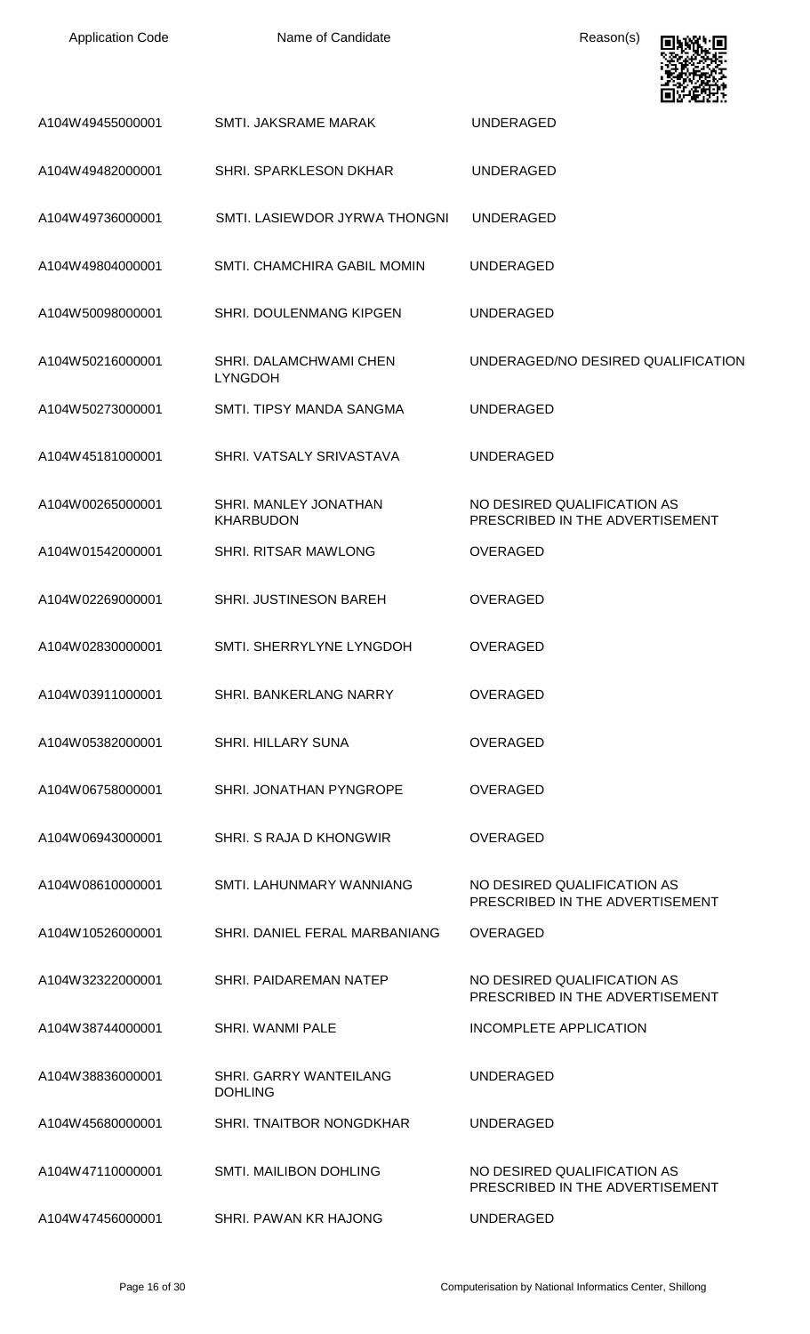| A104W49455000001 | SMTI. JAKSRAME MARAK                            | <b>UNDERAGED</b>                                               |
|------------------|-------------------------------------------------|----------------------------------------------------------------|
| A104W49482000001 | SHRI. SPARKLESON DKHAR                          | <b>UNDERAGED</b>                                               |
| A104W49736000001 | SMTI. LASIEWDOR JYRWA THONGNI                   | <b>UNDERAGED</b>                                               |
| A104W49804000001 | SMTI. CHAMCHIRA GABIL MOMIN                     | <b>UNDERAGED</b>                                               |
| A104W50098000001 | SHRI. DOULENMANG KIPGEN                         | <b>UNDERAGED</b>                                               |
| A104W50216000001 | SHRI. DALAMCHWAMI CHEN<br><b>LYNGDOH</b>        | UNDERAGED/NO DESIRED QUALIFICATION                             |
| A104W50273000001 | SMTI. TIPSY MANDA SANGMA                        | <b>UNDERAGED</b>                                               |
| A104W45181000001 | SHRI. VATSALY SRIVASTAVA                        | <b>UNDERAGED</b>                                               |
| A104W00265000001 | SHRI. MANLEY JONATHAN<br><b>KHARBUDON</b>       | NO DESIRED QUALIFICATION AS<br>PRESCRIBED IN THE ADVERTISEMENT |
| A104W01542000001 | SHRI. RITSAR MAWLONG                            | <b>OVERAGED</b>                                                |
| A104W02269000001 | <b>SHRI. JUSTINESON BAREH</b>                   | <b>OVERAGED</b>                                                |
| A104W02830000001 | SMTI. SHERRYLYNE LYNGDOH                        | <b>OVERAGED</b>                                                |
| A104W03911000001 | SHRI. BANKERLANG NARRY                          | OVERAGED                                                       |
| A104W05382000001 | SHRI. HILLARY SUNA                              | <b>OVERAGED</b>                                                |
| A104W06758000001 | SHRI. JONATHAN PYNGROPE                         | <b>OVERAGED</b>                                                |
| A104W06943000001 | SHRI. S RAJA D KHONGWIR                         | OVERAGED                                                       |
| A104W08610000001 | SMTI. LAHUNMARY WANNIANG                        | NO DESIRED QUALIFICATION AS<br>PRESCRIBED IN THE ADVERTISEMENT |
| A104W10526000001 | SHRI. DANIEL FERAL MARBANIANG                   | <b>OVERAGED</b>                                                |
| A104W32322000001 | SHRI, PAIDAREMAN NATEP                          | NO DESIRED QUALIFICATION AS<br>PRESCRIBED IN THE ADVERTISEMENT |
| A104W38744000001 | <b>SHRI. WANMI PALE</b>                         | <b>INCOMPLETE APPLICATION</b>                                  |
| A104W38836000001 | <b>SHRI. GARRY WANTEILANG</b><br><b>DOHLING</b> | <b>UNDERAGED</b>                                               |
| A104W45680000001 | SHRI. TNAITBOR NONGDKHAR                        | <b>UNDERAGED</b>                                               |
| A104W47110000001 | SMTI. MAILIBON DOHLING                          | NO DESIRED QUALIFICATION AS<br>PRESCRIBED IN THE ADVERTISEMENT |
| A104W47456000001 | SHRI. PAWAN KR HAJONG                           | <b>UNDERAGED</b>                                               |

回燃心回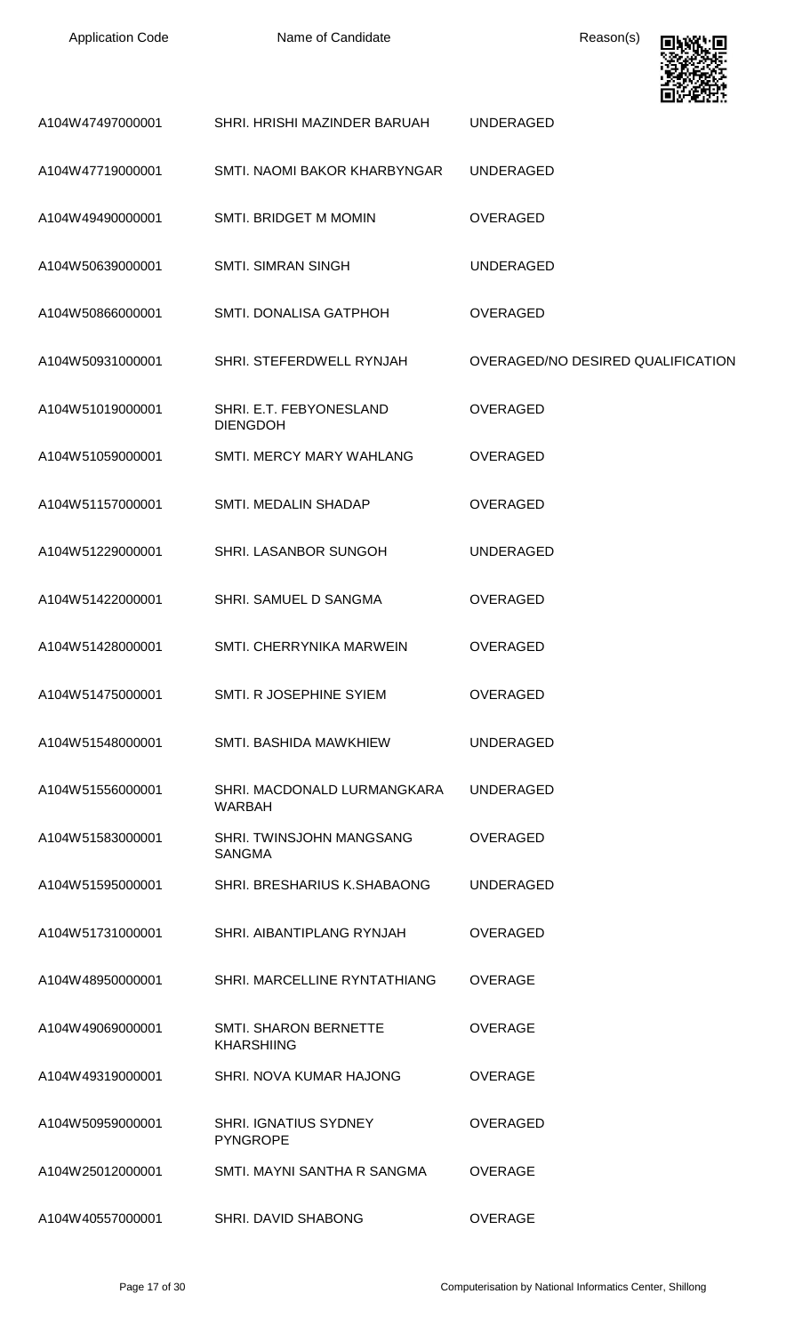

| A104W47497000001 | SHRI. HRISHI MAZINDER BARUAH                      | <b>UNDERAGED</b>                  |
|------------------|---------------------------------------------------|-----------------------------------|
| A104W47719000001 | SMTI, NAOMI BAKOR KHARBYNGAR                      | <b>UNDERAGED</b>                  |
| A104W49490000001 | <b>SMTI. BRIDGET M MOMIN</b>                      | <b>OVERAGED</b>                   |
| A104W50639000001 | <b>SMTI. SIMRAN SINGH</b>                         | <b>UNDERAGED</b>                  |
| A104W50866000001 | SMTI. DONALISA GATPHOH                            | <b>OVERAGED</b>                   |
| A104W50931000001 | SHRI. STEFERDWELL RYNJAH                          | OVERAGED/NO DESIRED QUALIFICATION |
| A104W51019000001 | SHRI. E.T. FEBYONESLAND<br><b>DIENGDOH</b>        | <b>OVERAGED</b>                   |
| A104W51059000001 | SMTI. MERCY MARY WAHLANG                          | <b>OVERAGED</b>                   |
| A104W51157000001 | SMTI. MEDALIN SHADAP                              | <b>OVERAGED</b>                   |
| A104W51229000001 | SHRI. LASANBOR SUNGOH                             | <b>UNDERAGED</b>                  |
| A104W51422000001 | SHRI. SAMUEL D SANGMA                             | <b>OVERAGED</b>                   |
| A104W51428000001 | SMTI, CHERRYNIKA MARWEIN                          | <b>OVERAGED</b>                   |
| A104W51475000001 | SMTI. R JOSEPHINE SYIEM                           | <b>OVERAGED</b>                   |
| A104W51548000001 | SMTI. BASHIDA MAWKHIEW                            | <b>UNDERAGED</b>                  |
| A104W51556000001 | SHRI. MACDONALD LURMANGKARA<br><b>WARBAH</b>      | <b>UNDERAGED</b>                  |
| A104W51583000001 | SHRI. TWINSJOHN MANGSANG<br><b>SANGMA</b>         | <b>OVERAGED</b>                   |
| A104W51595000001 | SHRI. BRESHARIUS K.SHABAONG                       | <b>UNDERAGED</b>                  |
| A104W51731000001 | SHRI. AIBANTIPLANG RYNJAH                         | <b>OVERAGED</b>                   |
| A104W48950000001 | SHRI. MARCELLINE RYNTATHIANG                      | <b>OVERAGE</b>                    |
| A104W49069000001 | <b>SMTI. SHARON BERNETTE</b><br><b>KHARSHIING</b> | <b>OVERAGE</b>                    |
| A104W49319000001 | SHRI. NOVA KUMAR HAJONG                           | <b>OVERAGE</b>                    |
| A104W50959000001 | <b>SHRI. IGNATIUS SYDNEY</b><br><b>PYNGROPE</b>   | <b>OVERAGED</b>                   |
| A104W25012000001 | SMTI, MAYNI SANTHA R SANGMA                       | <b>OVERAGE</b>                    |
| A104W40557000001 | SHRI. DAVID SHABONG                               | <b>OVERAGE</b>                    |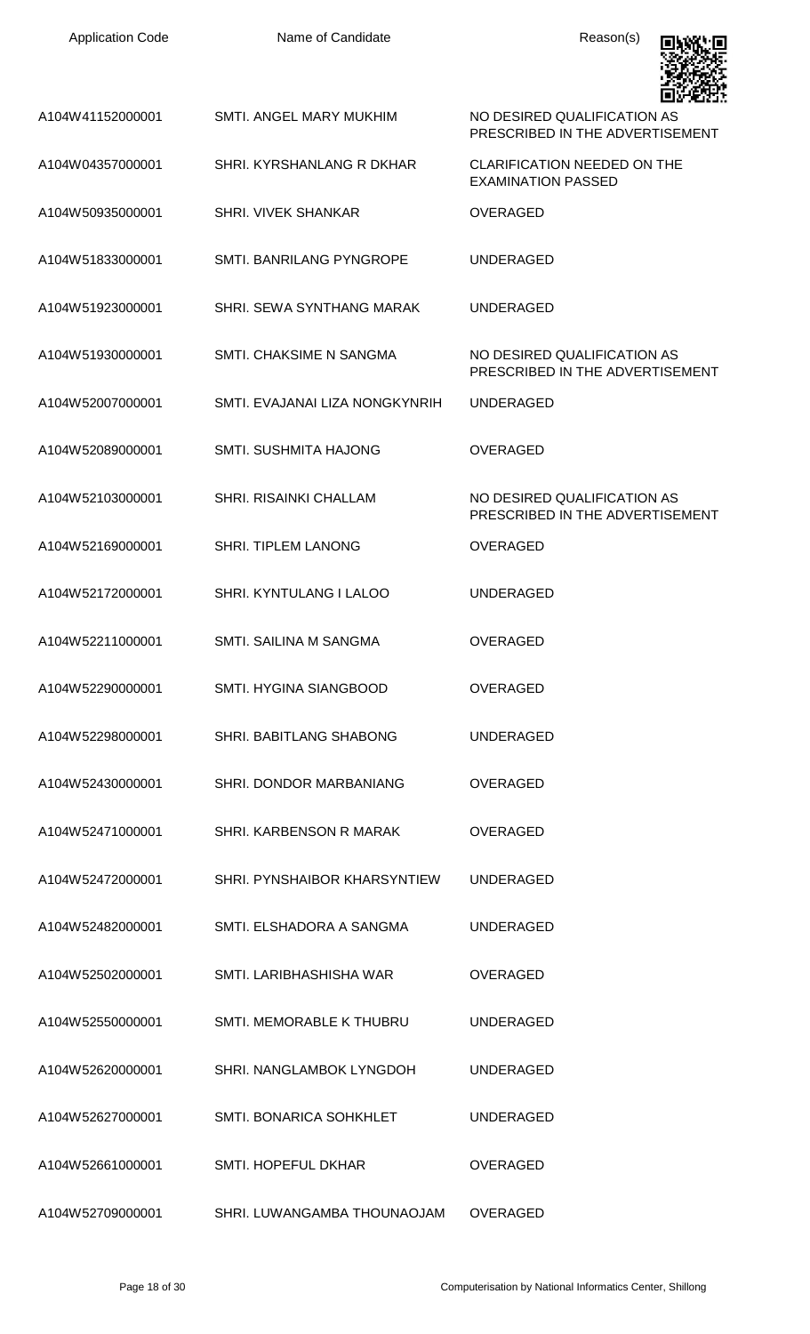| <b>Application Code</b> | Name of Candidate               | Reason(s)                                                       |
|-------------------------|---------------------------------|-----------------------------------------------------------------|
| A104W41152000001        | SMTI. ANGEL MARY MUKHIM         | NO DESIRED QUALIFICATION AS<br>PRESCRIBED IN THE ADVERTISEMENT  |
| A104W04357000001        | SHRI. KYRSHANLANG R DKHAR       | <b>CLARIFICATION NEEDED ON THE</b><br><b>EXAMINATION PASSED</b> |
| A104W50935000001        | <b>SHRI. VIVEK SHANKAR</b>      | <b>OVERAGED</b>                                                 |
| A104W51833000001        | <b>SMTI. BANRILANG PYNGROPE</b> | <b>UNDERAGED</b>                                                |
| A104W51923000001        | SHRI. SEWA SYNTHANG MARAK       | <b>UNDERAGED</b>                                                |
| A104W51930000001        | SMTI, CHAKSIME N SANGMA         | NO DESIRED QUALIFICATION AS<br>PRESCRIBED IN THE ADVERTISEMENT  |
| A104W52007000001        | SMTI. EVAJANAI LIZA NONGKYNRIH  | UNDERAGED                                                       |
| A104W52089000001        | <b>SMTI. SUSHMITA HAJONG</b>    | <b>OVERAGED</b>                                                 |
| A104W52103000001        | SHRI. RISAINKI CHALLAM          | NO DESIRED QUALIFICATION AS<br>PRESCRIBED IN THE ADVERTISEMENT  |
| A104W52169000001        | <b>SHRI. TIPLEM LANONG</b>      | <b>OVERAGED</b>                                                 |
| A104W52172000001        | SHRI. KYNTULANG I LALOO         | <b>UNDERAGED</b>                                                |
| A104W52211000001        | SMTI. SAILINA M SANGMA          | <b>OVERAGED</b>                                                 |
| A104W52290000001        | SMTI. HYGINA SIANGBOOD          | <b>OVERAGED</b>                                                 |
| A104W52298000001        | SHRI. BABITLANG SHABONG         | <b>UNDERAGED</b>                                                |
| A104W52430000001        | SHRI. DONDOR MARBANIANG         | <b>OVERAGED</b>                                                 |
| A104W52471000001        | SHRI. KARBENSON R MARAK         | <b>OVERAGED</b>                                                 |
| A104W52472000001        | SHRI. PYNSHAIBOR KHARSYNTIEW    | <b>UNDERAGED</b>                                                |
| A104W52482000001        | SMTI. ELSHADORA A SANGMA        | <b>UNDERAGED</b>                                                |
| A104W52502000001        | SMTI. LARIBHASHISHA WAR         | <b>OVERAGED</b>                                                 |
| A104W52550000001        | SMTI. MEMORABLE K THUBRU        | <b>UNDERAGED</b>                                                |
| A104W52620000001        | SHRI. NANGLAMBOK LYNGDOH        | <b>UNDERAGED</b>                                                |
| A104W52627000001        | SMTI. BONARICA SOHKHLET         | <b>UNDERAGED</b>                                                |
| A104W52661000001        | <b>SMTI. HOPEFUL DKHAR</b>      | <b>OVERAGED</b>                                                 |
| A104W52709000001        | SHRI. LUWANGAMBA THOUNAOJAM     | <b>OVERAGED</b>                                                 |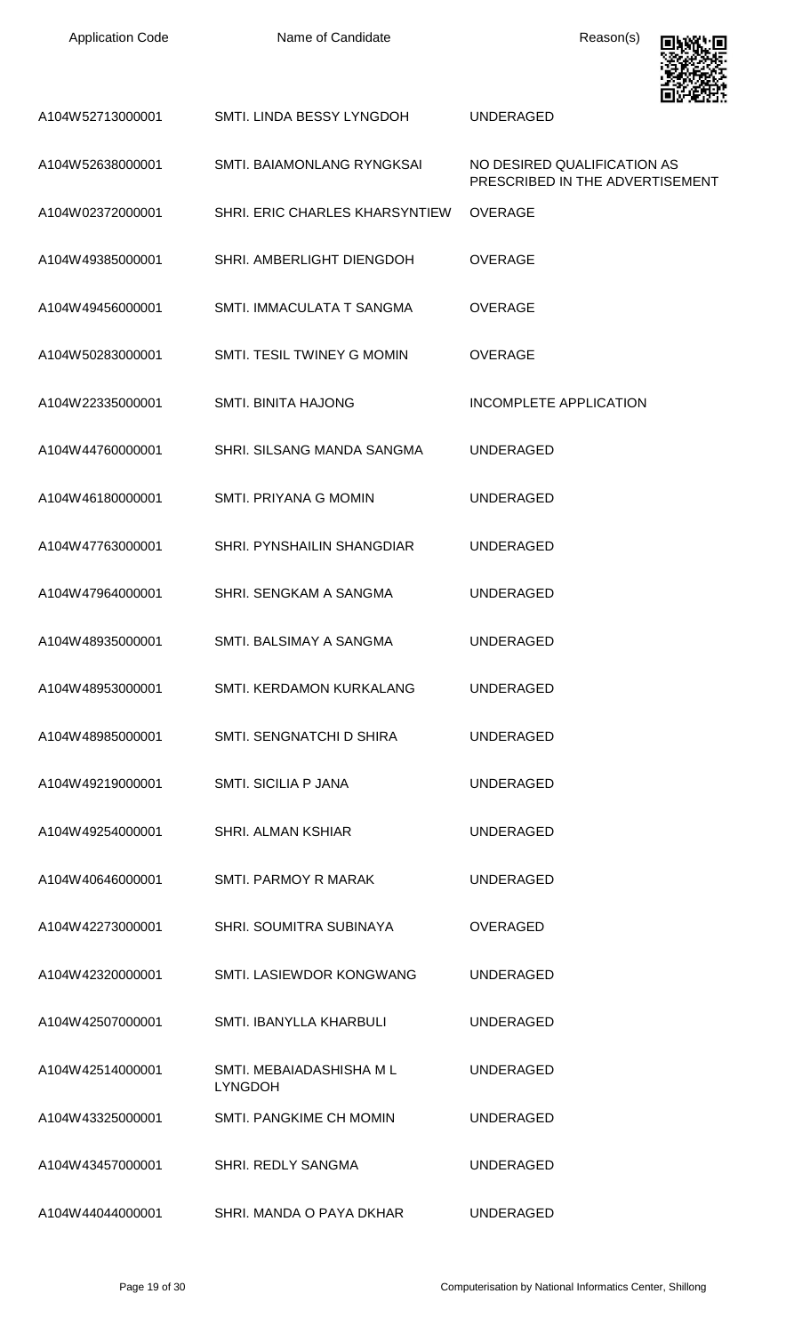| <b>Application Code</b> | Name of Candidate                         | Reason(s)                                                      |
|-------------------------|-------------------------------------------|----------------------------------------------------------------|
| A104W52713000001        | SMTI. LINDA BESSY LYNGDOH                 | <b>UNDERAGED</b>                                               |
| A104W52638000001        | SMTI. BAIAMONLANG RYNGKSAI                | NO DESIRED QUALIFICATION AS<br>PRESCRIBED IN THE ADVERTISEMENT |
| A104W02372000001        | SHRI. ERIC CHARLES KHARSYNTIEW            | <b>OVERAGE</b>                                                 |
| A104W49385000001        | SHRI. AMBERLIGHT DIENGDOH                 | <b>OVERAGE</b>                                                 |
| A104W49456000001        | SMTI. IMMACULATA T SANGMA                 | <b>OVERAGE</b>                                                 |
| A104W50283000001        | SMTI. TESIL TWINEY G MOMIN                | <b>OVERAGE</b>                                                 |
| A104W22335000001        | <b>SMTI. BINITA HAJONG</b>                | <b>INCOMPLETE APPLICATION</b>                                  |
| A104W44760000001        | SHRI. SILSANG MANDA SANGMA                | <b>UNDERAGED</b>                                               |
| A104W46180000001        | SMTI. PRIYANA G MOMIN                     | <b>UNDERAGED</b>                                               |
| A104W47763000001        | SHRI. PYNSHAILIN SHANGDIAR                | <b>UNDERAGED</b>                                               |
| A104W47964000001        | SHRI. SENGKAM A SANGMA                    | <b>UNDERAGED</b>                                               |
| A104W48935000001        | SMTI. BALSIMAY A SANGMA                   | <b>UNDERAGED</b>                                               |
| A104W48953000001        | SMTI. KERDAMON KURKALANG                  | <b>UNDERAGED</b>                                               |
| A104W48985000001        | SMTI. SENGNATCHI D SHIRA                  | <b>UNDERAGED</b>                                               |
| A104W49219000001        | <b>SMTI. SICILIA P JANA</b>               | <b>UNDERAGED</b>                                               |
| A104W49254000001        | <b>SHRI. ALMAN KSHIAR</b>                 | <b>UNDERAGED</b>                                               |
| A104W40646000001        | <b>SMTI. PARMOY R MARAK</b>               | <b>UNDERAGED</b>                                               |
| A104W42273000001        | SHRI. SOUMITRA SUBINAYA                   | <b>OVERAGED</b>                                                |
| A104W42320000001        | SMTI. LASIEWDOR KONGWANG                  | <b>UNDERAGED</b>                                               |
| A104W42507000001        | SMTI. IBANYLLA KHARBULI                   | <b>UNDERAGED</b>                                               |
| A104W42514000001        | SMTI. MEBAIADASHISHA ML<br><b>LYNGDOH</b> | <b>UNDERAGED</b>                                               |
| A104W43325000001        | SMTI. PANGKIME CH MOMIN                   | <b>UNDERAGED</b>                                               |
| A104W43457000001        | SHRI. REDLY SANGMA                        | <b>UNDERAGED</b>                                               |
| A104W44044000001        | SHRI. MANDA O PAYA DKHAR                  | <b>UNDERAGED</b>                                               |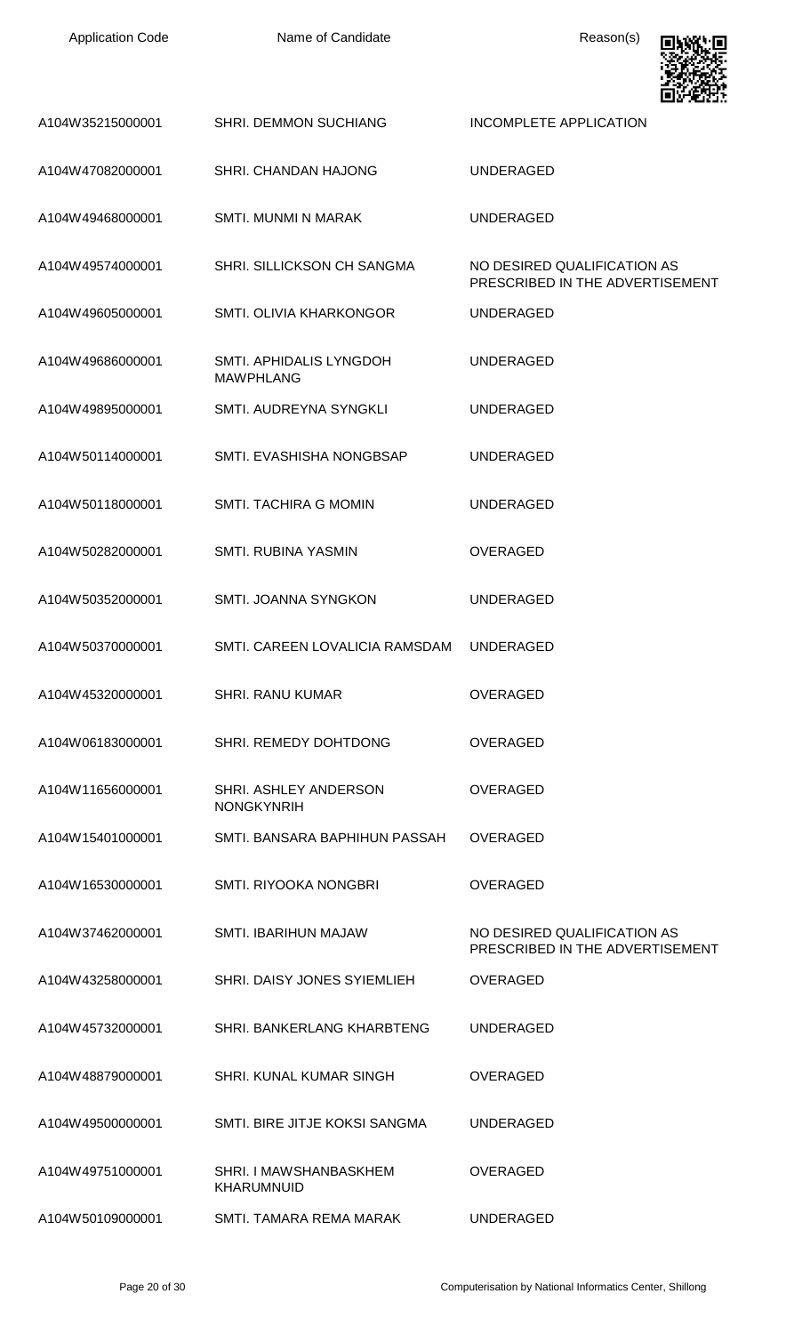| <b>Application Code</b> | Name of Candidate                           | Reason(s)                                                      |
|-------------------------|---------------------------------------------|----------------------------------------------------------------|
| A104W35215000001        | <b>SHRI. DEMMON SUCHIANG</b>                | <b>INCOMPLETE APPLICATION</b>                                  |
| A104W47082000001        | SHRI. CHANDAN HAJONG                        | <b>UNDERAGED</b>                                               |
| A104W49468000001        | <b>SMTI. MUNMI N MARAK</b>                  | <b>UNDERAGED</b>                                               |
| A104W49574000001        | SHRI. SILLICKSON CH SANGMA                  | NO DESIRED QUALIFICATION AS<br>PRESCRIBED IN THE ADVERTISEMENT |
| A104W49605000001        | SMTI. OLIVIA KHARKONGOR                     | <b>UNDERAGED</b>                                               |
| A104W49686000001        | SMTI. APHIDALIS LYNGDOH<br><b>MAWPHLANG</b> | <b>UNDERAGED</b>                                               |
| A104W49895000001        | SMTI. AUDREYNA SYNGKLI                      | <b>UNDERAGED</b>                                               |
| A104W50114000001        | SMTI. EVASHISHA NONGBSAP                    | <b>UNDERAGED</b>                                               |
| A104W50118000001        | <b>SMTI. TACHIRA G MOMIN</b>                | <b>UNDERAGED</b>                                               |
| A104W50282000001        | <b>SMTI. RUBINA YASMIN</b>                  | <b>OVERAGED</b>                                                |
| A104W50352000001        | <b>SMTI. JOANNA SYNGKON</b>                 | <b>UNDERAGED</b>                                               |
| A104W50370000001        | SMTI. CAREEN LOVALICIA RAMSDAM              | <b>UNDERAGED</b>                                               |
| A104W45320000001        | <b>SHRI. RANU KUMAR</b>                     | <b>OVERAGED</b>                                                |
| A104W06183000001        | SHRI. REMEDY DOHTDONG                       | <b>OVERAGED</b>                                                |
| A104W11656000001        | SHRI. ASHLEY ANDERSON<br><b>NONGKYNRIH</b>  | <b>OVERAGED</b>                                                |
| A104W15401000001        | SMTI. BANSARA BAPHIHUN PASSAH               | <b>OVERAGED</b>                                                |
| A104W16530000001        | <b>SMTI. RIYOOKA NONGBRI</b>                | <b>OVERAGED</b>                                                |
| A104W37462000001        | SMTI. IBARIHUN MAJAW                        | NO DESIRED QUALIFICATION AS<br>PRESCRIBED IN THE ADVERTISEMENT |
| A104W43258000001        | SHRI. DAISY JONES SYIEMLIEH                 | <b>OVERAGED</b>                                                |
| A104W45732000001        | SHRI. BANKERLANG KHARBTENG                  | <b>UNDERAGED</b>                                               |
| A104W48879000001        | SHRI. KUNAL KUMAR SINGH                     | <b>OVERAGED</b>                                                |
| A104W49500000001        | SMTI, BIRE JITJE KOKSI SANGMA               | <b>UNDERAGED</b>                                               |
| A104W49751000001        | SHRI. I MAWSHANBASKHEM<br><b>KHARUMNUID</b> | <b>OVERAGED</b>                                                |
| A104W50109000001        | SMTI. TAMARA REMA MARAK                     | <b>UNDERAGED</b>                                               |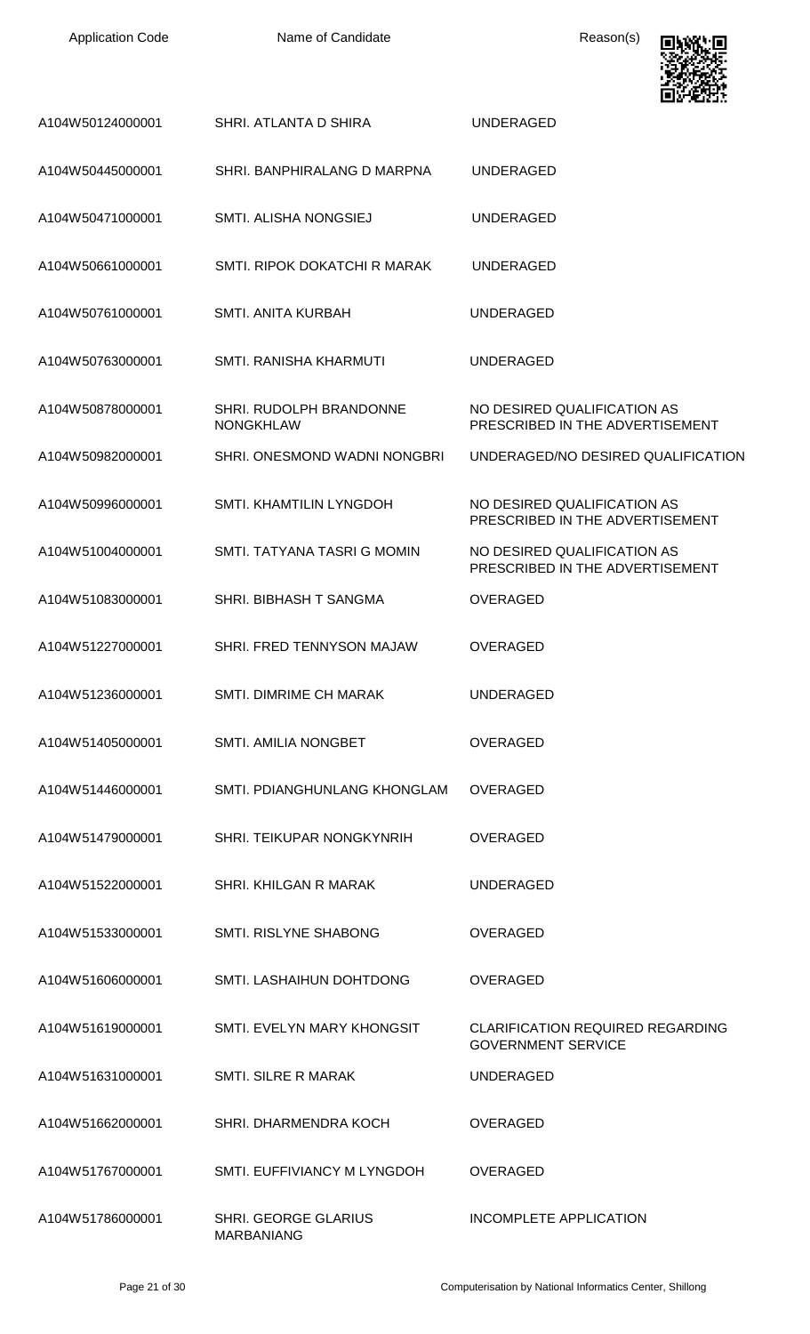| <b>Application Code</b> | Name of Candidate                           | Reason(s)                                                            |
|-------------------------|---------------------------------------------|----------------------------------------------------------------------|
| A104W50124000001        | SHRI. ATLANTA D SHIRA                       | <b>UNDERAGED</b>                                                     |
| A104W50445000001        | SHRI. BANPHIRALANG D MARPNA                 | <b>UNDERAGED</b>                                                     |
| A104W50471000001        | SMTI. ALISHA NONGSIEJ                       | <b>UNDERAGED</b>                                                     |
| A104W50661000001        | SMTI. RIPOK DOKATCHI R MARAK                | <b>UNDERAGED</b>                                                     |
| A104W50761000001        | <b>SMTI. ANITA KURBAH</b>                   | <b>UNDERAGED</b>                                                     |
| A104W50763000001        | <b>SMTI. RANISHA KHARMUTI</b>               | <b>UNDERAGED</b>                                                     |
| A104W50878000001        | SHRI. RUDOLPH BRANDONNE<br><b>NONGKHLAW</b> | NO DESIRED QUALIFICATION AS<br>PRESCRIBED IN THE ADVERTISEMENT       |
| A104W50982000001        | SHRI. ONESMOND WADNI NONGBRI                | UNDERAGED/NO DESIRED QUALIFICATION                                   |
| A104W50996000001        | SMTI. KHAMTILIN LYNGDOH                     | NO DESIRED QUALIFICATION AS<br>PRESCRIBED IN THE ADVERTISEMENT       |
| A104W51004000001        | SMTI. TATYANA TASRI G MOMIN                 | NO DESIRED QUALIFICATION AS<br>PRESCRIBED IN THE ADVERTISEMENT       |
| A104W51083000001        | SHRI. BIBHASH T SANGMA                      | <b>OVERAGED</b>                                                      |
| A104W51227000001        | SHRI. FRED TENNYSON MAJAW                   | OVERAGED                                                             |
| A104W51236000001        | <b>SMTI. DIMRIME CH MARAK</b>               | <b>UNDERAGED</b>                                                     |
| A104W51405000001        | <b>SMTI. AMILIA NONGBET</b>                 | <b>OVERAGED</b>                                                      |
| A104W51446000001        | SMTI. PDIANGHUNLANG KHONGLAM                | OVERAGED                                                             |
| A104W51479000001        | SHRI. TEIKUPAR NONGKYNRIH                   | <b>OVERAGED</b>                                                      |
| A104W51522000001        | <b>SHRI. KHILGAN R MARAK</b>                | <b>UNDERAGED</b>                                                     |
| A104W51533000001        | <b>SMTI. RISLYNE SHABONG</b>                | <b>OVERAGED</b>                                                      |
| A104W51606000001        | SMTI. LASHAIHUN DOHTDONG                    | <b>OVERAGED</b>                                                      |
| A104W51619000001        | SMTI. EVELYN MARY KHONGSIT                  | <b>CLARIFICATION REQUIRED REGARDING</b><br><b>GOVERNMENT SERVICE</b> |
| A104W51631000001        | <b>SMTI. SILRE R MARAK</b>                  | <b>UNDERAGED</b>                                                     |
| A104W51662000001        | SHRI, DHARMENDRA KOCH                       | <b>OVERAGED</b>                                                      |
| A104W51767000001        | SMTI. EUFFIVIANCY M LYNGDOH                 | <b>OVERAGED</b>                                                      |
| A104W51786000001        | SHRI. GEORGE GLARIUS<br>MARBANIANG          | INCOMPLETE APPLICATION                                               |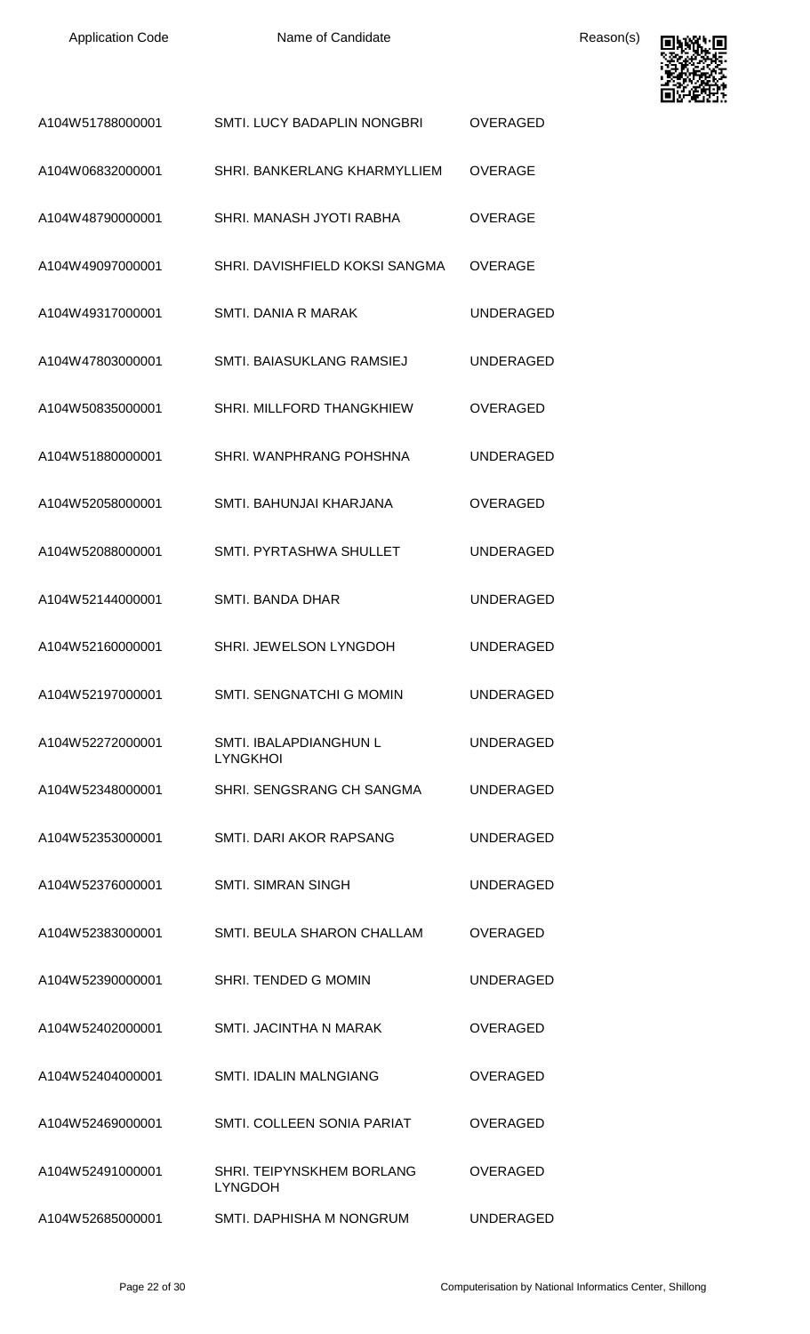

| A104W51788000001 | <b>SMTI. LUCY BADAPLIN NONGBRI</b>          | <b>OVERAGED</b>  |
|------------------|---------------------------------------------|------------------|
| A104W06832000001 | SHRI. BANKERLANG KHARMYLLIEM                | <b>OVERAGE</b>   |
| A104W48790000001 | SHRI. MANASH JYOTI RABHA                    | <b>OVERAGE</b>   |
| A104W49097000001 | SHRI. DAVISHFIELD KOKSI SANGMA              | OVERAGE          |
| A104W49317000001 | <b>SMTI. DANIA R MARAK</b>                  | UNDERAGED        |
| A104W47803000001 | SMTI. BAIASUKLANG RAMSIEJ                   | UNDERAGED        |
| A104W50835000001 | SHRI. MILLFORD THANGKHIEW                   | <b>OVERAGED</b>  |
| A104W51880000001 | SHRI. WANPHRANG POHSHNA                     | UNDERAGED        |
| A104W52058000001 | SMTI. BAHUNJAI KHARJANA                     | <b>OVERAGED</b>  |
| A104W52088000001 | SMTI. PYRTASHWA SHULLET                     | UNDERAGED        |
| A104W52144000001 | SMTI. BANDA DHAR                            | UNDERAGED        |
| A104W52160000001 | SHRI. JEWELSON LYNGDOH                      | UNDERAGED        |
| A104W52197000001 | SMTI, SENGNATCHI G MOMIN                    | <b>UNDERAGED</b> |
| A104W52272000001 | SMTI. IBALAPDIANGHUN L<br><b>LYNGKHOI</b>   | <b>UNDERAGED</b> |
| A104W52348000001 | SHRI. SENGSRANG CH SANGMA                   | <b>UNDERAGED</b> |
| A104W52353000001 | SMTI. DARI AKOR RAPSANG                     | <b>UNDERAGED</b> |
| A104W52376000001 | <b>SMTI. SIMRAN SINGH</b>                   | <b>UNDERAGED</b> |
| A104W52383000001 | <b>SMTI. BEULA SHARON CHALLAM</b>           | <b>OVERAGED</b>  |
| A104W52390000001 | <b>SHRI. TENDED G MOMIN</b>                 | UNDERAGED        |
| A104W52402000001 | <b>SMTI. JACINTHA N MARAK</b>               | <b>OVERAGED</b>  |
| A104W52404000001 | <b>SMTI. IDALIN MALNGIANG</b>               | <b>OVERAGED</b>  |
| A104W52469000001 | SMTI. COLLEEN SONIA PARIAT                  | <b>OVERAGED</b>  |
| A104W52491000001 | SHRI. TEIPYNSKHEM BORLANG<br><b>LYNGDOH</b> | OVERAGED         |
| A104W52685000001 | SMTI. DAPHISHA M NONGRUM                    | <b>UNDERAGED</b> |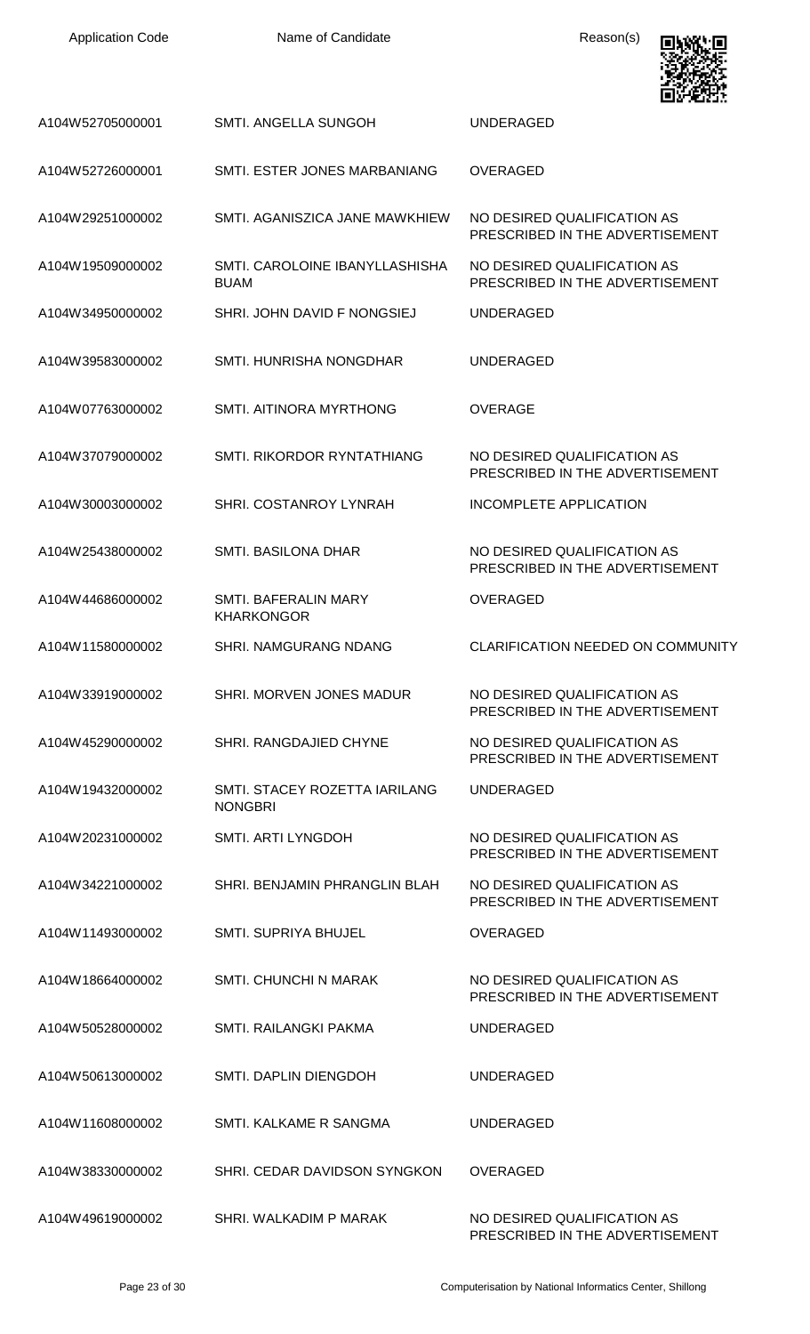Name of Candidate **Reason(s)** 



| A104W52705000001 | SMTI. ANGELLA SUNGOH                             | UNDERAGED                                                      |
|------------------|--------------------------------------------------|----------------------------------------------------------------|
| A104W52726000001 | SMTI. ESTER JONES MARBANIANG                     | <b>OVERAGED</b>                                                |
| A104W29251000002 | SMTI. AGANISZICA JANE MAWKHIEW                   | NO DESIRED QUALIFICATION AS<br>PRESCRIBED IN THE ADVERTISEMENT |
| A104W19509000002 | SMTI. CAROLOINE IBANYLLASHISHA<br><b>BUAM</b>    | NO DESIRED QUALIFICATION AS<br>PRESCRIBED IN THE ADVERTISEMENT |
| A104W34950000002 | SHRI. JOHN DAVID F NONGSIEJ                      | <b>UNDERAGED</b>                                               |
| A104W39583000002 | SMTI. HUNRISHA NONGDHAR                          | UNDERAGED                                                      |
| A104W07763000002 | SMTI. AITINORA MYRTHONG                          | <b>OVERAGE</b>                                                 |
| A104W37079000002 | SMTI, RIKORDOR RYNTATHIANG                       | NO DESIRED QUALIFICATION AS<br>PRESCRIBED IN THE ADVERTISEMENT |
| A104W30003000002 | SHRI. COSTANROY LYNRAH                           | INCOMPLETE APPLICATION                                         |
| A104W25438000002 | SMTI. BASILONA DHAR                              | NO DESIRED QUALIFICATION AS<br>PRESCRIBED IN THE ADVERTISEMENT |
| A104W44686000002 | <b>SMTI. BAFERALIN MARY</b><br><b>KHARKONGOR</b> | <b>OVERAGED</b>                                                |
| A104W11580000002 | SHRI. NAMGURANG NDANG                            | <b>CLARIFICATION NEEDED ON COMMUNITY</b>                       |
| A104W33919000002 | SHRI. MORVEN JONES MADUR                         | NO DESIRED QUALIFICATION AS<br>PRESCRIBED IN THE ADVERTISEMENT |
| A104W45290000002 | SHRI. RANGDAJIED CHYNE                           | NO DESIRED QUALIFICATION AS<br>PRESCRIBED IN THE ADVERTISEMENT |
| A104W19432000002 | SMTI. STACEY ROZETTA IARILANG<br><b>NONGBRI</b>  | <b>UNDERAGED</b>                                               |
| A104W20231000002 | SMTI. ARTI LYNGDOH                               | NO DESIRED QUALIFICATION AS<br>PRESCRIBED IN THE ADVERTISEMENT |
| A104W34221000002 | SHRI. BENJAMIN PHRANGLIN BLAH                    | NO DESIRED QUALIFICATION AS<br>PRESCRIBED IN THE ADVERTISEMENT |
| A104W11493000002 | <b>SMTI. SUPRIYA BHUJEL</b>                      | <b>OVERAGED</b>                                                |
| A104W18664000002 | <b>SMTI. CHUNCHI N MARAK</b>                     | NO DESIRED QUALIFICATION AS<br>PRESCRIBED IN THE ADVERTISEMENT |
| A104W50528000002 | SMTI. RAILANGKI PAKMA                            | UNDERAGED                                                      |
| A104W50613000002 | SMTI. DAPLIN DIENGDOH                            | UNDERAGED                                                      |
| A104W11608000002 | SMTI. KALKAME R SANGMA                           | UNDERAGED                                                      |
| A104W38330000002 | SHRI. CEDAR DAVIDSON SYNGKON                     | <b>OVERAGED</b>                                                |
| A104W49619000002 | SHRI. WALKADIM P MARAK                           | NO DESIRED QUALIFICATION AS<br>PRESCRIBED IN THE ADVERTISEMENT |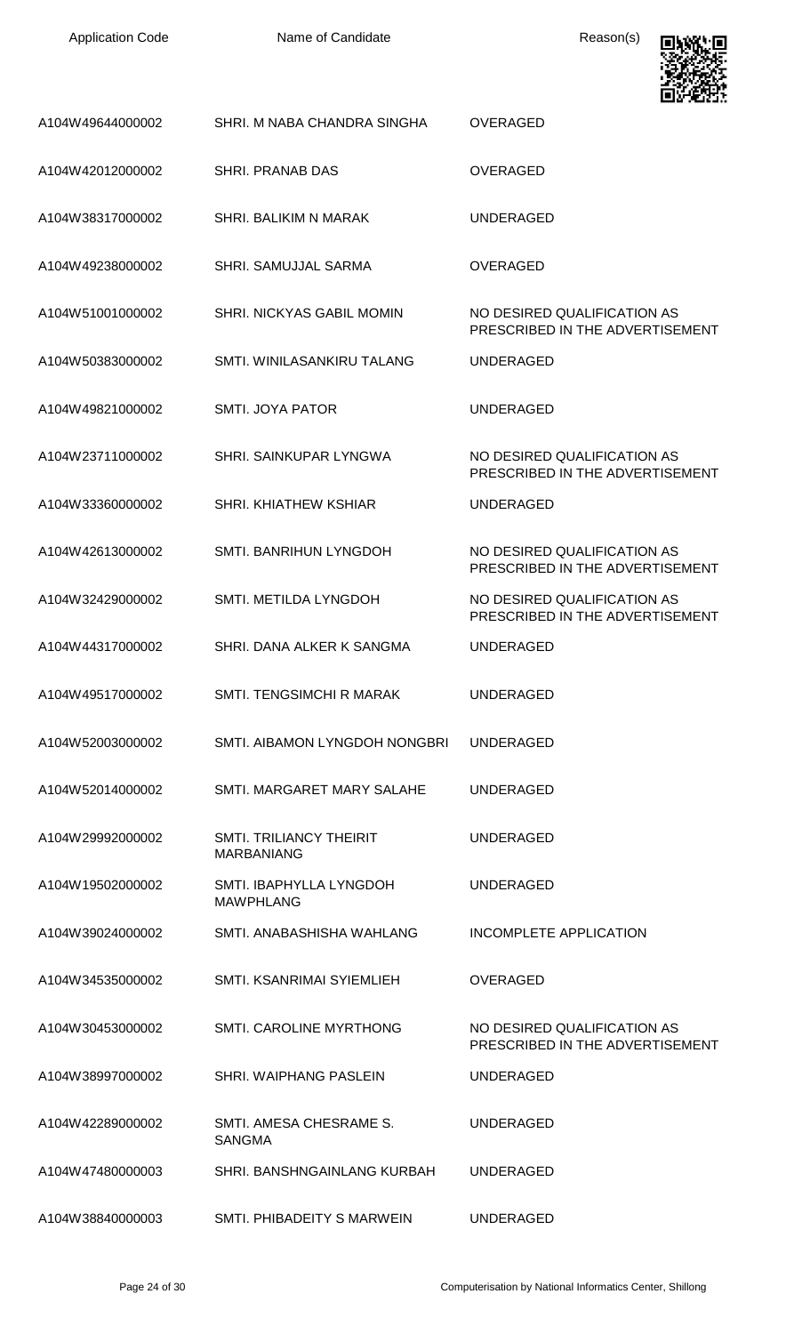

|                  |                                                     | . تا 2012 مالكا                                                |
|------------------|-----------------------------------------------------|----------------------------------------------------------------|
| A104W49644000002 | SHRI. M NABA CHANDRA SINGHA                         | <b>OVERAGED</b>                                                |
| A104W42012000002 | SHRI. PRANAB DAS                                    | <b>OVERAGED</b>                                                |
| A104W38317000002 | SHRI. BALIKIM N MARAK                               | <b>UNDERAGED</b>                                               |
| A104W49238000002 | SHRI. SAMUJJAL SARMA                                | <b>OVERAGED</b>                                                |
| A104W51001000002 | SHRI. NICKYAS GABIL MOMIN                           | NO DESIRED QUALIFICATION AS<br>PRESCRIBED IN THE ADVERTISEMENT |
| A104W50383000002 | SMTI. WINILASANKIRU TALANG                          | <b>UNDERAGED</b>                                               |
| A104W49821000002 | SMTI. JOYA PATOR                                    | <b>UNDERAGED</b>                                               |
| A104W23711000002 | SHRI. SAINKUPAR LYNGWA                              | NO DESIRED QUALIFICATION AS<br>PRESCRIBED IN THE ADVERTISEMENT |
| A104W33360000002 | <b>SHRI, KHIATHEW KSHIAR</b>                        | <b>UNDERAGED</b>                                               |
| A104W42613000002 | SMTI. BANRIHUN LYNGDOH                              | NO DESIRED QUALIFICATION AS<br>PRESCRIBED IN THE ADVERTISEMENT |
| A104W32429000002 | SMTI. METILDA LYNGDOH                               | NO DESIRED QUALIFICATION AS<br>PRESCRIBED IN THE ADVERTISEMENT |
| A104W44317000002 | SHRI. DANA ALKER K SANGMA                           | <b>UNDERAGED</b>                                               |
| A104W49517000002 | <b>SMTI. TENGSIMCHI R MARAK</b>                     | <b>UNDERAGED</b>                                               |
| A104W52003000002 | SMTI. AIBAMON LYNGDOH NONGBRI                       | UNDERAGED                                                      |
| A104W52014000002 | SMTI. MARGARET MARY SALAHE                          | UNDERAGED                                                      |
| A104W29992000002 | <b>SMTI. TRILIANCY THEIRIT</b><br><b>MARBANIANG</b> | UNDERAGED                                                      |
| A104W19502000002 | SMTI. IBAPHYLLA LYNGDOH<br><b>MAWPHLANG</b>         | UNDERAGED                                                      |
| A104W39024000002 | SMTI. ANABASHISHA WAHLANG                           | <b>INCOMPLETE APPLICATION</b>                                  |
| A104W34535000002 | SMTI, KSANRIMAI SYIEMLIEH                           | <b>OVERAGED</b>                                                |
| A104W30453000002 | <b>SMTI. CAROLINE MYRTHONG</b>                      | NO DESIRED QUALIFICATION AS<br>PRESCRIBED IN THE ADVERTISEMENT |
| A104W38997000002 | <b>SHRI. WAIPHANG PASLEIN</b>                       | <b>UNDERAGED</b>                                               |
| A104W42289000002 | SMTI. AMESA CHESRAME S.<br><b>SANGMA</b>            | <b>UNDERAGED</b>                                               |
| A104W47480000003 | SHRI, BANSHNGAINLANG KURBAH                         | <b>UNDERAGED</b>                                               |
| A104W38840000003 | SMTI. PHIBADEITY S MARWEIN                          | <b>UNDERAGED</b>                                               |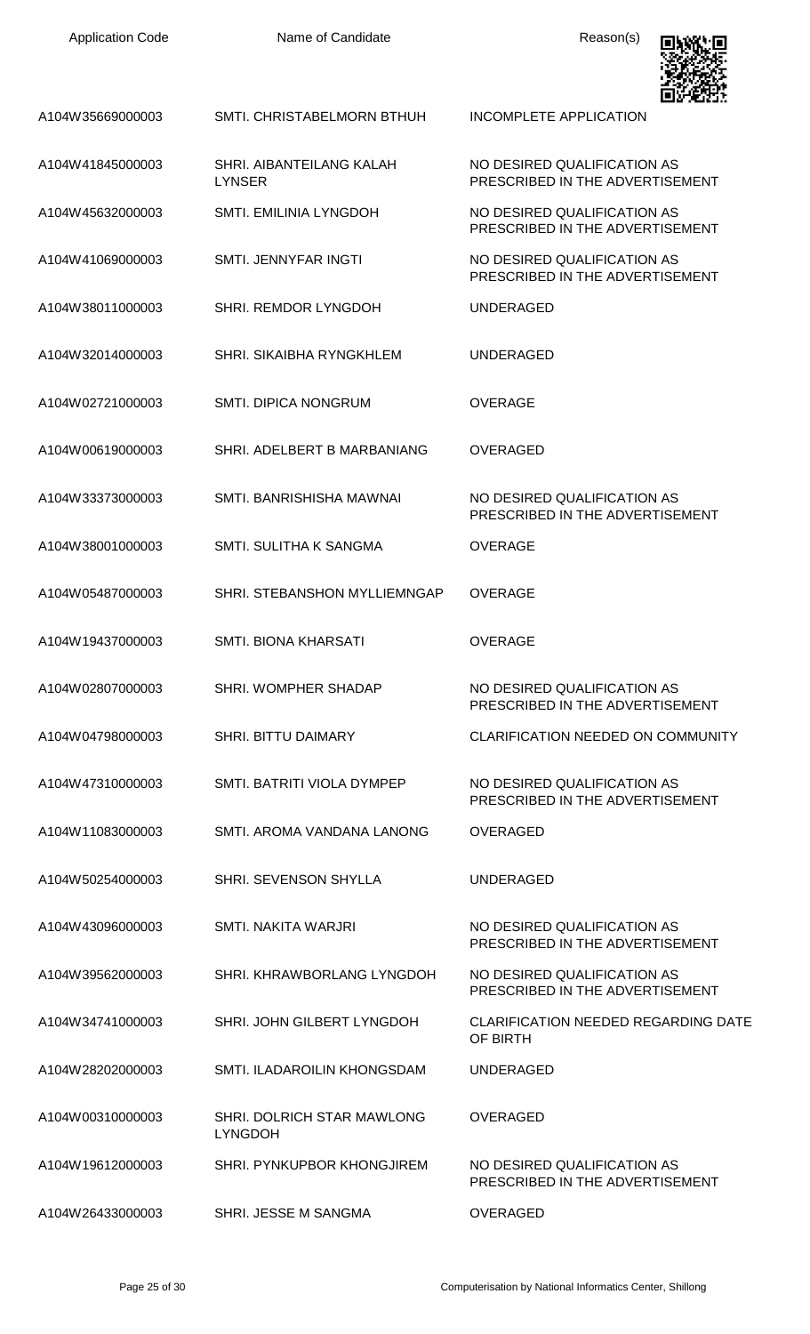| <b>Application Code</b> | Name of Candidate                                   | Reason(s)                                                      |
|-------------------------|-----------------------------------------------------|----------------------------------------------------------------|
| A104W35669000003        | SMTI. CHRISTABELMORN BTHUH                          | <b>INCOMPLETE APPLICATION</b>                                  |
| A104W41845000003        | SHRI. AIBANTEILANG KALAH<br><b>LYNSER</b>           | NO DESIRED QUALIFICATION AS<br>PRESCRIBED IN THE ADVERTISEMENT |
| A104W45632000003        | SMTI. EMILINIA LYNGDOH                              | NO DESIRED QUALIFICATION AS<br>PRESCRIBED IN THE ADVERTISEMENT |
| A104W41069000003        | SMTI. JENNYFAR INGTI                                | NO DESIRED QUALIFICATION AS<br>PRESCRIBED IN THE ADVERTISEMENT |
| A104W38011000003        | SHRI. REMDOR LYNGDOH                                | <b>UNDERAGED</b>                                               |
| A104W32014000003        | <b>SHRI. SIKAIBHA RYNGKHLEM</b>                     | <b>UNDERAGED</b>                                               |
| A104W02721000003        | <b>SMTI. DIPICA NONGRUM</b>                         | <b>OVERAGE</b>                                                 |
| A104W00619000003        | SHRI. ADELBERT B MARBANIANG                         | <b>OVERAGED</b>                                                |
| A104W33373000003        | SMTI. BANRISHISHA MAWNAI                            | NO DESIRED QUALIFICATION AS<br>PRESCRIBED IN THE ADVERTISEMENT |
| A104W38001000003        | SMTI. SULITHA K SANGMA                              | <b>OVERAGE</b>                                                 |
| A104W05487000003        | SHRI. STEBANSHON MYLLIEMNGAP                        | <b>OVERAGE</b>                                                 |
| A104W19437000003        | <b>SMTI. BIONA KHARSATI</b>                         | <b>OVERAGE</b>                                                 |
| A104W02807000003        | SHRI. WOMPHER SHADAP                                | NO DESIRED QUALIFICATION AS<br>PRESCRIBED IN THE ADVERTISEMENT |
| A104W04798000003        | <b>SHRI. BITTU DAIMARY</b>                          | <b>CLARIFICATION NEEDED ON COMMUNITY</b>                       |
| A104W47310000003        | SMTI. BATRITI VIOLA DYMPEP                          | NO DESIRED QUALIFICATION AS<br>PRESCRIBED IN THE ADVERTISEMENT |
| A104W11083000003        | SMTI. AROMA VANDANA LANONG                          | <b>OVERAGED</b>                                                |
| A104W50254000003        | SHRI. SEVENSON SHYLLA                               | <b>UNDERAGED</b>                                               |
| A104W43096000003        | SMTI. NAKITA WARJRI                                 | NO DESIRED QUALIFICATION AS<br>PRESCRIBED IN THE ADVERTISEMENT |
| A104W39562000003        | SHRI. KHRAWBORLANG LYNGDOH                          | NO DESIRED QUALIFICATION AS<br>PRESCRIBED IN THE ADVERTISEMENT |
| A104W34741000003        | SHRI. JOHN GILBERT LYNGDOH                          | <b>CLARIFICATION NEEDED REGARDING DATE</b><br>OF BIRTH         |
| A104W28202000003        | SMTI. ILADAROILIN KHONGSDAM                         | <b>UNDERAGED</b>                                               |
| A104W00310000003        | <b>SHRI. DOLRICH STAR MAWLONG</b><br><b>LYNGDOH</b> | <b>OVERAGED</b>                                                |
| A104W19612000003        | SHRI. PYNKUPBOR KHONGJIREM                          | NO DESIRED QUALIFICATION AS<br>PRESCRIBED IN THE ADVERTISEMENT |
| A104W26433000003        | SHRI. JESSE M SANGMA                                | <b>OVERAGED</b>                                                |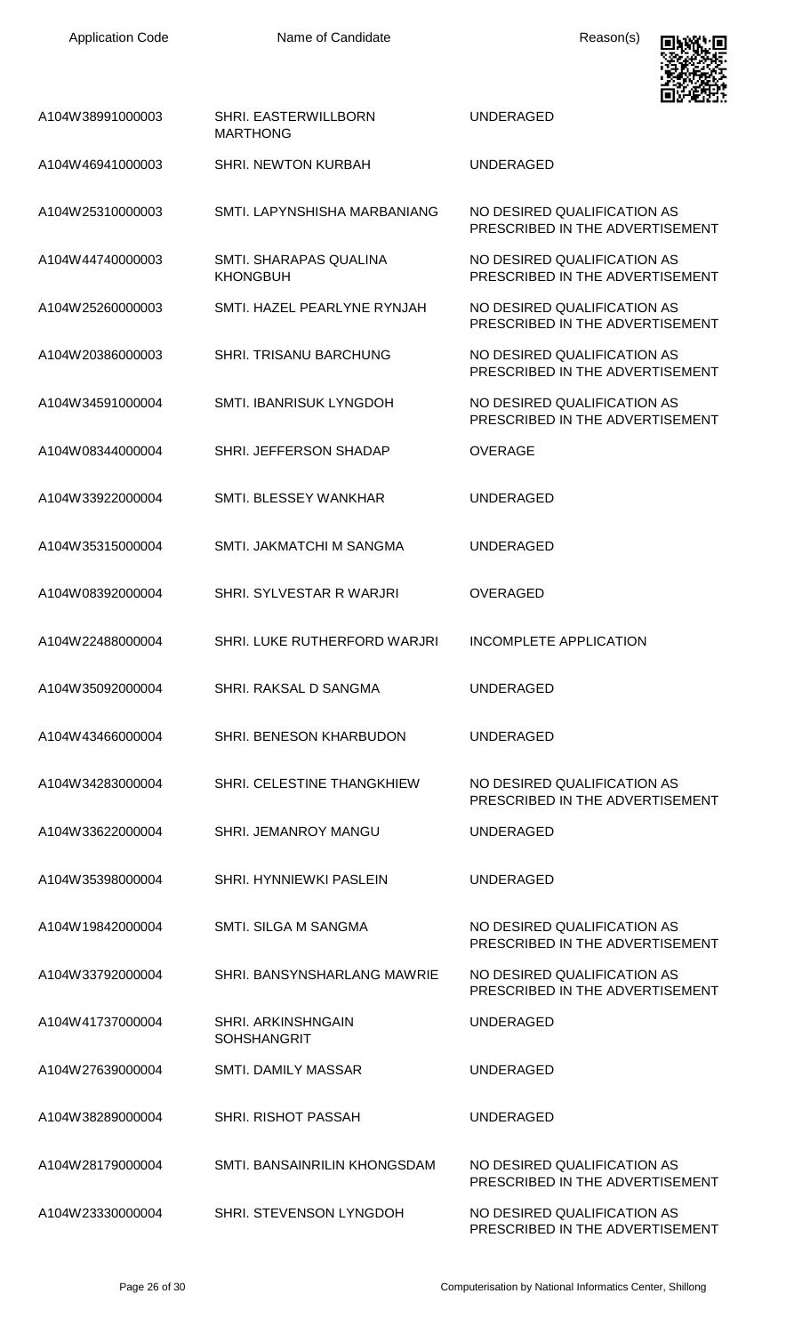

|                  |                                                 | ويتقينه ومحاليا                                                |
|------------------|-------------------------------------------------|----------------------------------------------------------------|
| A104W38991000003 | <b>SHRI. EASTERWILLBORN</b><br><b>MARTHONG</b>  | UNDERAGED                                                      |
| A104W46941000003 | <b>SHRI. NEWTON KURBAH</b>                      | UNDERAGED                                                      |
| A104W25310000003 | SMTI. LAPYNSHISHA MARBANIANG                    | NO DESIRED QUALIFICATION AS<br>PRESCRIBED IN THE ADVERTISEMENT |
| A104W44740000003 | SMTI. SHARAPAS QUALINA<br><b>KHONGBUH</b>       | NO DESIRED QUALIFICATION AS<br>PRESCRIBED IN THE ADVERTISEMENT |
| A104W25260000003 | SMTI. HAZEL PEARLYNE RYNJAH                     | NO DESIRED QUALIFICATION AS<br>PRESCRIBED IN THE ADVERTISEMENT |
| A104W20386000003 | SHRI. TRISANU BARCHUNG                          | NO DESIRED QUALIFICATION AS<br>PRESCRIBED IN THE ADVERTISEMENT |
| A104W34591000004 | SMTI. IBANRISUK LYNGDOH                         | NO DESIRED QUALIFICATION AS<br>PRESCRIBED IN THE ADVERTISEMENT |
| A104W08344000004 | SHRI. JEFFERSON SHADAP                          | OVERAGE                                                        |
| A104W33922000004 | SMTI. BLESSEY WANKHAR                           | UNDERAGED                                                      |
| A104W35315000004 | SMTI. JAKMATCHI M SANGMA                        | UNDERAGED                                                      |
| A104W08392000004 | SHRI. SYLVESTAR R WARJRI                        | <b>OVERAGED</b>                                                |
| A104W22488000004 | SHRI. LUKE RUTHERFORD WARJRI                    | <b>INCOMPLETE APPLICATION</b>                                  |
| A104W35092000004 | SHRI. RAKSAL D SANGMA                           | <b>UNDERAGED</b>                                               |
| A104W43466000004 | SHRI. BENESON KHARBUDON                         | <b>UNDERAGED</b>                                               |
| A104W34283000004 | SHRI. CELESTINE THANGKHIEW                      | NO DESIRED QUALIFICATION AS<br>PRESCRIBED IN THE ADVERTISEMENT |
| A104W33622000004 | SHRI. JEMANROY MANGU                            | <b>UNDERAGED</b>                                               |
| A104W35398000004 | <b>SHRI. HYNNIEWKI PASLEIN</b>                  | <b>UNDERAGED</b>                                               |
| A104W19842000004 | SMTI. SILGA M SANGMA                            | NO DESIRED QUALIFICATION AS<br>PRESCRIBED IN THE ADVERTISEMENT |
| A104W33792000004 | SHRI. BANSYNSHARLANG MAWRIE                     | NO DESIRED QUALIFICATION AS<br>PRESCRIBED IN THE ADVERTISEMENT |
| A104W41737000004 | <b>SHRI. ARKINSHNGAIN</b><br><b>SOHSHANGRIT</b> | <b>UNDERAGED</b>                                               |
| A104W27639000004 | <b>SMTI. DAMILY MASSAR</b>                      | <b>UNDERAGED</b>                                               |
| A104W38289000004 | <b>SHRI. RISHOT PASSAH</b>                      | UNDERAGED                                                      |
| A104W28179000004 | SMTI. BANSAINRILIN KHONGSDAM                    | NO DESIRED QUALIFICATION AS<br>PRESCRIBED IN THE ADVERTISEMENT |
| A104W23330000004 | SHRI. STEVENSON LYNGDOH                         | NO DESIRED QUALIFICATION AS<br>PRESCRIBED IN THE ADVERTISEMENT |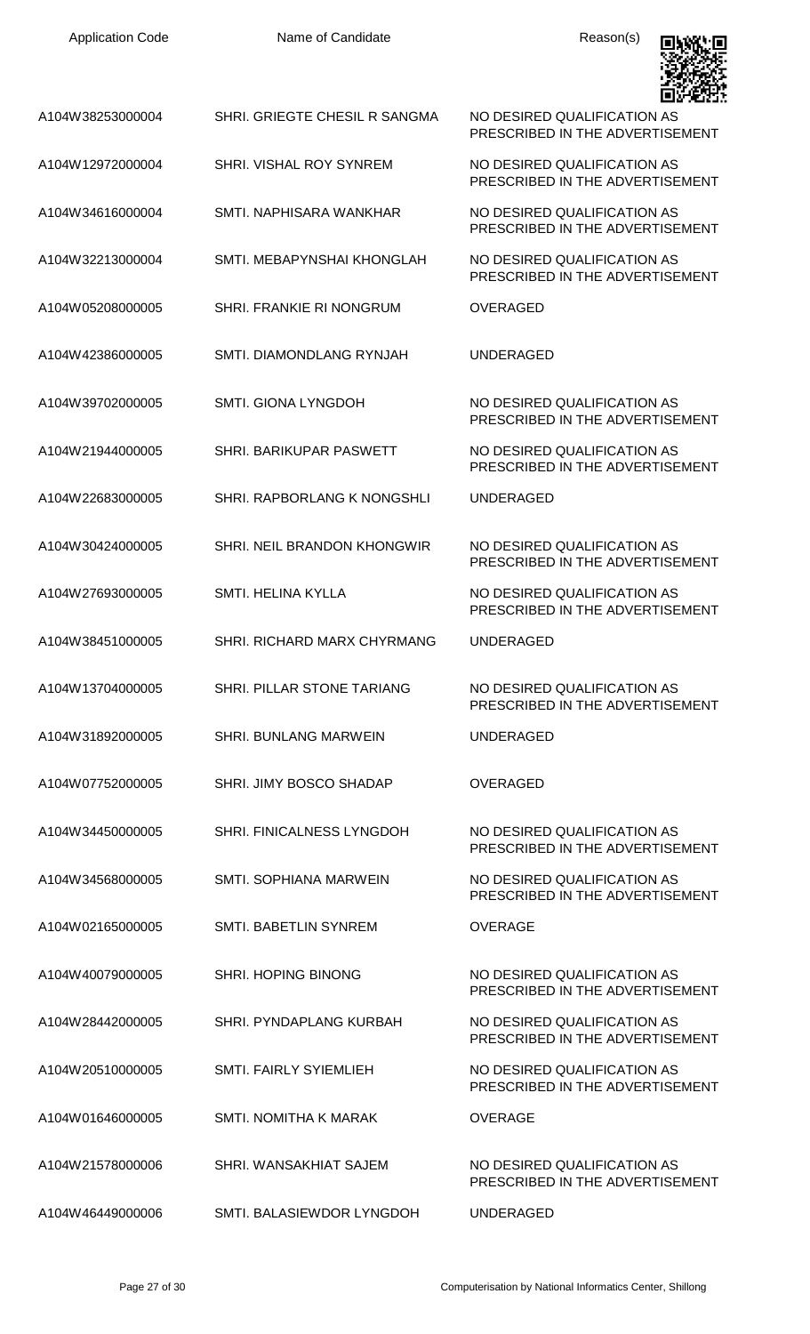| <b>Application Code</b> | Name of Candidate                 | Reason(s)                                                      |
|-------------------------|-----------------------------------|----------------------------------------------------------------|
| A104W38253000004        | SHRI. GRIEGTE CHESIL R SANGMA     | NO DESIRED QUALIFICATION AS<br>PRESCRIBED IN THE ADVERTISEMENT |
| A104W12972000004        | SHRI. VISHAL ROY SYNREM           | NO DESIRED QUALIFICATION AS<br>PRESCRIBED IN THE ADVERTISEMENT |
| A104W34616000004        | SMTI. NAPHISARA WANKHAR           | NO DESIRED QUALIFICATION AS<br>PRESCRIBED IN THE ADVERTISEMENT |
| A104W32213000004        | SMTI. MEBAPYNSHAI KHONGLAH        | NO DESIRED QUALIFICATION AS<br>PRESCRIBED IN THE ADVERTISEMENT |
| A104W05208000005        | SHRI. FRANKIE RI NONGRUM          | OVERAGED                                                       |
| A104W42386000005        | <b>SMTI. DIAMONDLANG RYNJAH</b>   | <b>UNDERAGED</b>                                               |
| A104W39702000005        | <b>SMTI. GIONA LYNGDOH</b>        | NO DESIRED QUALIFICATION AS<br>PRESCRIBED IN THE ADVERTISEMENT |
| A104W21944000005        | <b>SHRI. BARIKUPAR PASWETT</b>    | NO DESIRED QUALIFICATION AS<br>PRESCRIBED IN THE ADVERTISEMENT |
| A104W22683000005        | SHRI. RAPBORLANG K NONGSHLI       | <b>UNDERAGED</b>                                               |
| A104W30424000005        | SHRI. NEIL BRANDON KHONGWIR       | NO DESIRED QUALIFICATION AS<br>PRESCRIBED IN THE ADVERTISEMENT |
| A104W27693000005        | SMTI. HELINA KYLLA                | NO DESIRED QUALIFICATION AS<br>PRESCRIBED IN THE ADVERTISEMENT |
| A104W38451000005        | SHRI, RICHARD MARX CHYRMANG       | UNDERAGED                                                      |
| A104W13704000005        | <b>SHRI. PILLAR STONE TARIANG</b> | NO DESIRED OUALIFICATION AS<br>PRESCRIBED IN THE ADVERTISEMENT |
| A104W31892000005        | <b>SHRI. BUNLANG MARWEIN</b>      | <b>UNDERAGED</b>                                               |
| A104W07752000005        | SHRI. JIMY BOSCO SHADAP           | <b>OVERAGED</b>                                                |
| A104W34450000005        | <b>SHRI. FINICALNESS LYNGDOH</b>  | NO DESIRED QUALIFICATION AS<br>PRESCRIBED IN THE ADVERTISEMENT |
| A104W34568000005        | SMTI. SOPHIANA MARWEIN            | NO DESIRED QUALIFICATION AS<br>PRESCRIBED IN THE ADVERTISEMENT |
| A104W02165000005        | <b>SMTI. BABETLIN SYNREM</b>      | <b>OVERAGE</b>                                                 |
| A104W40079000005        | <b>SHRI. HOPING BINONG</b>        | NO DESIRED QUALIFICATION AS<br>PRESCRIBED IN THE ADVERTISEMENT |
| A104W28442000005        | SHRI. PYNDAPLANG KURBAH           | NO DESIRED QUALIFICATION AS<br>PRESCRIBED IN THE ADVERTISEMENT |
| A104W20510000005        | <b>SMTI. FAIRLY SYIEMLIEH</b>     | NO DESIRED QUALIFICATION AS<br>PRESCRIBED IN THE ADVERTISEMENT |
| A104W01646000005        | SMTI. NOMITHA K MARAK             | <b>OVERAGE</b>                                                 |
| A104W21578000006        | SHRI, WANSAKHIAT SAJEM            | NO DESIRED QUALIFICATION AS<br>PRESCRIBED IN THE ADVERTISEMENT |
| A104W46449000006        | SMTI. BALASIEWDOR LYNGDOH         | <b>UNDERAGED</b>                                               |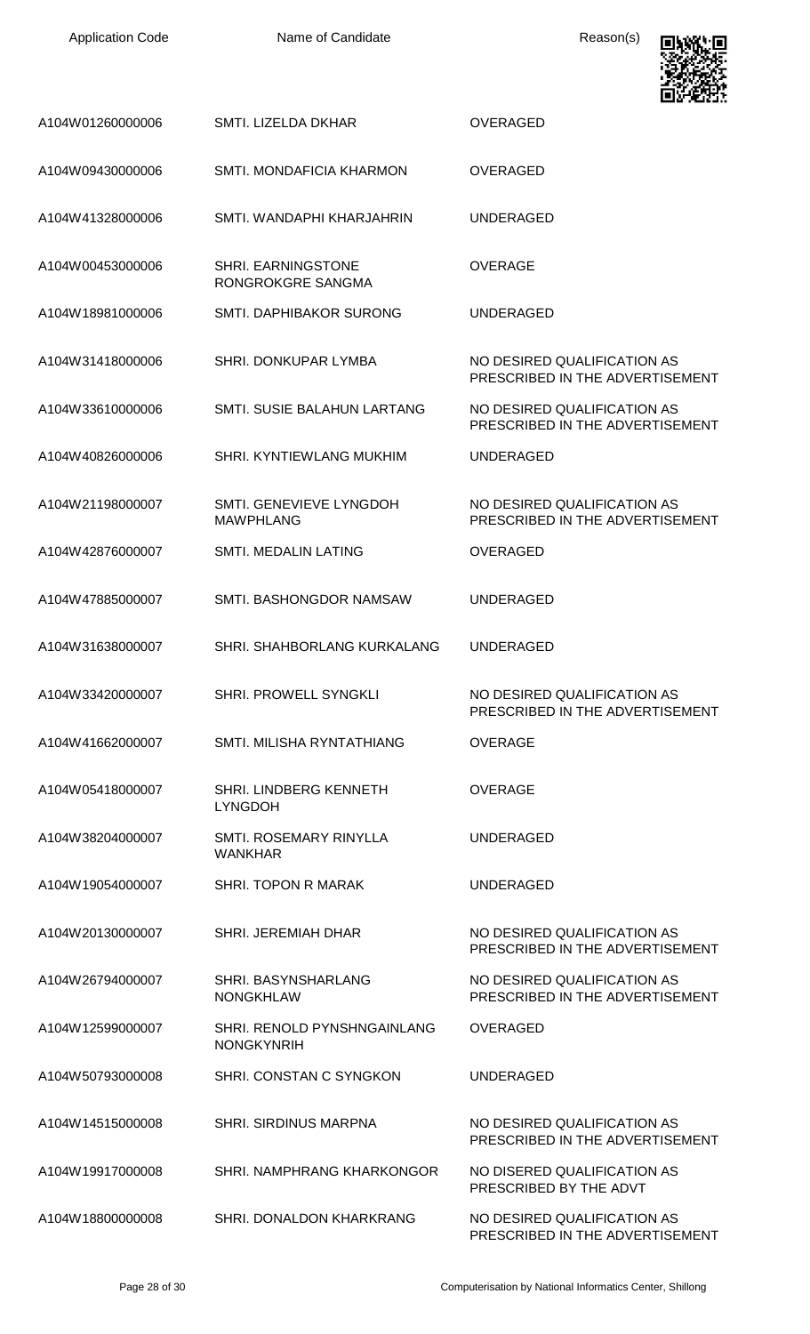| <b>Application Code</b> | Name of Candidate                                | Reason(s)                                                      |
|-------------------------|--------------------------------------------------|----------------------------------------------------------------|
| A104W01260000006        | SMTI. LIZELDA DKHAR                              | <b>OVERAGED</b>                                                |
| A104W09430000006        | SMTI. MONDAFICIA KHARMON                         | <b>OVERAGED</b>                                                |
| A104W41328000006        | SMTI. WANDAPHI KHARJAHRIN                        | <b>UNDERAGED</b>                                               |
| A104W00453000006        | <b>SHRI. EARNINGSTONE</b><br>RONGROKGRE SANGMA   | <b>OVERAGE</b>                                                 |
| A104W18981000006        | SMTI. DAPHIBAKOR SURONG                          | <b>UNDERAGED</b>                                               |
| A104W31418000006        | <b>SHRI. DONKUPAR LYMBA</b>                      | NO DESIRED QUALIFICATION AS<br>PRESCRIBED IN THE ADVERTISEMENT |
| A104W33610000006        | SMTI. SUSIE BALAHUN LARTANG                      | NO DESIRED QUALIFICATION AS<br>PRESCRIBED IN THE ADVERTISEMENT |
| A104W40826000006        | SHRI. KYNTIEWLANG MUKHIM                         | <b>UNDERAGED</b>                                               |
| A104W21198000007        | SMTI. GENEVIEVE LYNGDOH<br><b>MAWPHLANG</b>      | NO DESIRED QUALIFICATION AS<br>PRESCRIBED IN THE ADVERTISEMENT |
| A104W42876000007        | <b>SMTI. MEDALIN LATING</b>                      | <b>OVERAGED</b>                                                |
| A104W47885000007        | SMTI. BASHONGDOR NAMSAW                          | <b>UNDERAGED</b>                                               |
| A104W31638000007        | SHRI. SHAHBORLANG KURKALANG                      | UNDERAGED                                                      |
| A104W33420000007        | <b>SHRI. PROWELL SYNGKLI</b>                     | NO DESIRED QUALIFICATION AS<br>PRESCRIBED IN THE ADVERTISEMENT |
| A104W41662000007        | SMTI. MILISHA RYNTATHIANG                        | <b>OVERAGE</b>                                                 |
| A104W05418000007        | <b>SHRI. LINDBERG KENNETH</b><br><b>LYNGDOH</b>  | <b>OVERAGE</b>                                                 |
| A104W38204000007        | <b>SMTI. ROSEMARY RINYLLA</b><br><b>WANKHAR</b>  | <b>UNDERAGED</b>                                               |
| A104W19054000007        | SHRI. TOPON R MARAK                              | <b>UNDERAGED</b>                                               |
| A104W20130000007        | <b>SHRI. JEREMIAH DHAR</b>                       | NO DESIRED QUALIFICATION AS<br>PRESCRIBED IN THE ADVERTISEMENT |
| A104W26794000007        | SHRI. BASYNSHARLANG<br><b>NONGKHLAW</b>          | NO DESIRED QUALIFICATION AS<br>PRESCRIBED IN THE ADVERTISEMENT |
| A104W12599000007        | SHRI. RENOLD PYNSHNGAINLANG<br><b>NONGKYNRIH</b> | <b>OVERAGED</b>                                                |
| A104W50793000008        | SHRI. CONSTAN C SYNGKON                          | <b>UNDERAGED</b>                                               |
| A104W14515000008        | <b>SHRI. SIRDINUS MARPNA</b>                     | NO DESIRED QUALIFICATION AS<br>PRESCRIBED IN THE ADVERTISEMENT |
| A104W19917000008        | SHRI. NAMPHRANG KHARKONGOR                       | NO DISERED QUALIFICATION AS<br>PRESCRIBED BY THE ADVT          |
| A104W18800000008        | SHRI. DONALDON KHARKRANG                         | NO DESIRED QUALIFICATION AS<br>PRESCRIBED IN THE ADVERTISEMENT |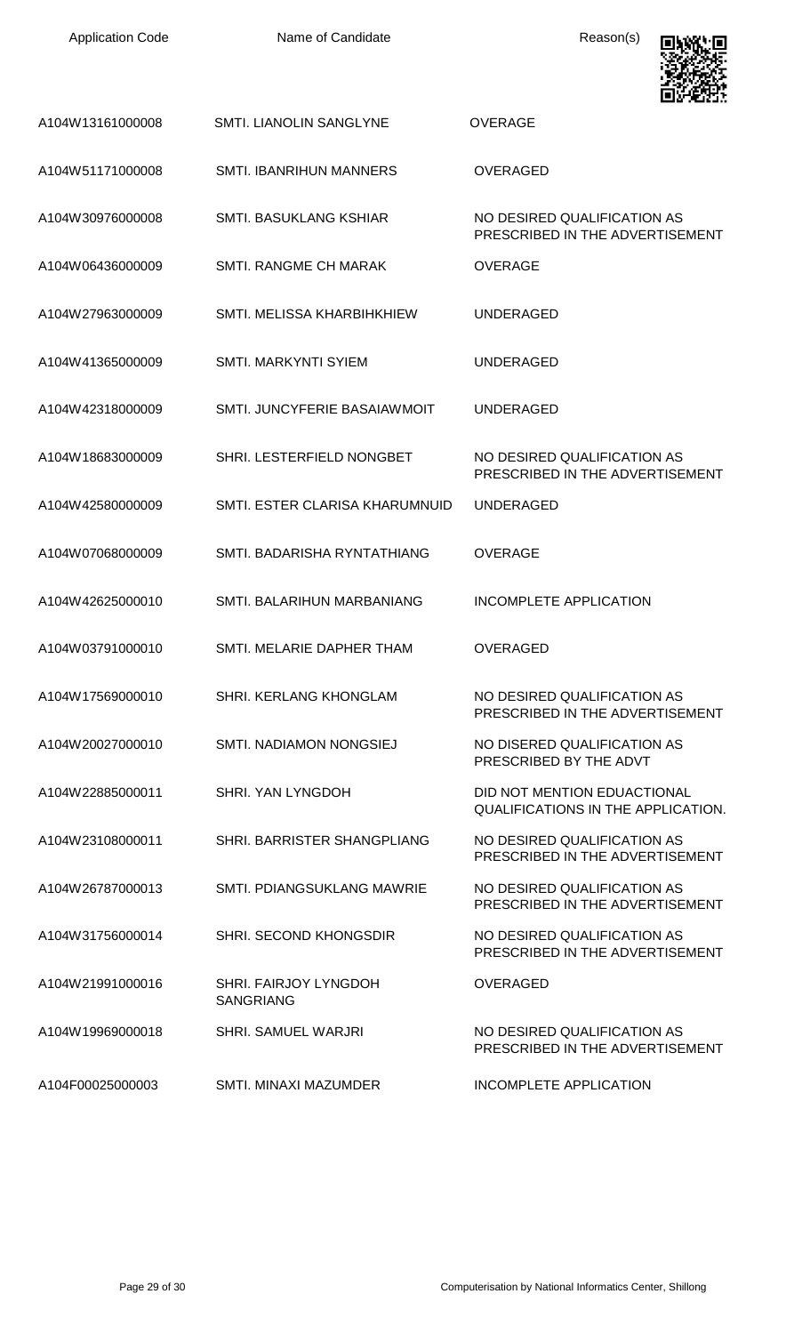| <b>Application Code</b> | Name of Candidate                         | Reason(s)                                                                |
|-------------------------|-------------------------------------------|--------------------------------------------------------------------------|
| A104W13161000008        | SMTI. LIANOLIN SANGLYNE                   | <b>OVERAGE</b>                                                           |
| A104W51171000008        | <b>SMTI. IBANRIHUN MANNERS</b>            | <b>OVERAGED</b>                                                          |
| A104W30976000008        | <b>SMTI. BASUKLANG KSHIAR</b>             | NO DESIRED QUALIFICATION AS<br>PRESCRIBED IN THE ADVERTISEMENT           |
| A104W06436000009        | SMTI. RANGME CH MARAK                     | <b>OVERAGE</b>                                                           |
| A104W27963000009        | SMTI. MELISSA KHARBIHKHIEW                | <b>UNDERAGED</b>                                                         |
| A104W41365000009        | SMTI. MARKYNTI SYIEM                      | <b>UNDERAGED</b>                                                         |
| A104W42318000009        | SMTI, JUNCYFERIE BASAIAWMOIT              | <b>UNDERAGED</b>                                                         |
| A104W18683000009        | SHRI. LESTERFIELD NONGBET                 | NO DESIRED QUALIFICATION AS<br>PRESCRIBED IN THE ADVERTISEMENT           |
| A104W42580000009        | SMTI. ESTER CLARISA KHARUMNUID            | <b>UNDERAGED</b>                                                         |
| A104W07068000009        | SMTI, BADARISHA RYNTATHIANG               | <b>OVERAGE</b>                                                           |
| A104W42625000010        | SMTI. BALARIHUN MARBANIANG                | <b>INCOMPLETE APPLICATION</b>                                            |
| A104W03791000010        | SMTI. MELARIE DAPHER THAM                 | <b>OVERAGED</b>                                                          |
| A104W17569000010        | <b>SHRI, KERLANG KHONGLAM</b>             | NO DESIRED QUALIFICATION AS<br>PRESCRIBED IN THE ADVERTISEMENT           |
| A104W20027000010        | SMTI. NADIAMON NONGSIEJ                   | NO DISERED QUALIFICATION AS<br>PRESCRIBED BY THE ADVT                    |
| A104W22885000011        | SHRI, YAN LYNGDOH                         | DID NOT MENTION EDUACTIONAL<br><b>QUALIFICATIONS IN THE APPLICATION.</b> |
| A104W23108000011        | SHRI. BARRISTER SHANGPLIANG               | NO DESIRED QUALIFICATION AS<br>PRESCRIBED IN THE ADVERTISEMENT           |
| A104W26787000013        | SMTI. PDIANGSUKLANG MAWRIE                | NO DESIRED QUALIFICATION AS<br>PRESCRIBED IN THE ADVERTISEMENT           |
| A104W31756000014        | SHRI. SECOND KHONGSDIR                    | NO DESIRED QUALIFICATION AS<br>PRESCRIBED IN THE ADVERTISEMENT           |
| A104W21991000016        | SHRI. FAIRJOY LYNGDOH<br><b>SANGRIANG</b> | <b>OVERAGED</b>                                                          |
| A104W19969000018        | <b>SHRI. SAMUEL WARJRI</b>                | NO DESIRED QUALIFICATION AS<br>PRESCRIBED IN THE ADVERTISEMENT           |
| A104F00025000003        | <b>SMTI. MINAXI MAZUMDER</b>              | INCOMPLETE APPLICATION                                                   |